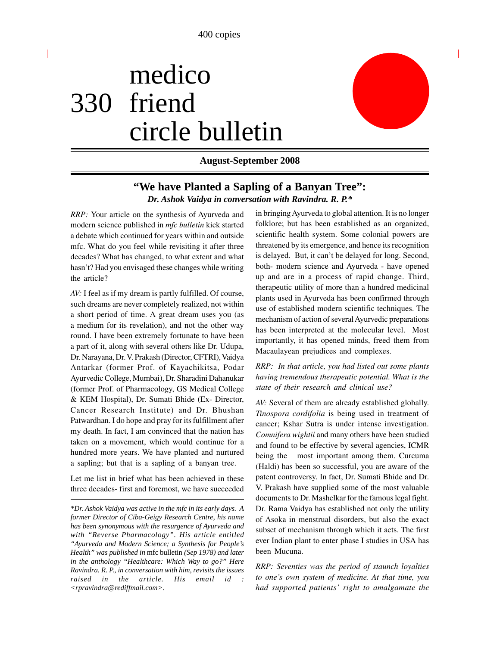# medico 330 friend circle bulletin



┽

# **August-September 2008**

# **"We have Planted a Sapling of a Banyan Tree":** *Dr. Ashok Vaidya in conversation with Ravindra. R. P.\**

*RRP:* Your article on the synthesis of Ayurveda and modern science published in *mfc bulletin* kick started a debate which continued for years within and outside mfc. What do you feel while revisiting it after three decades? What has changed, to what extent and what hasn't? Had you envisaged these changes while writing the article?

*AV:* I feel as if my dream is partly fulfilled. Of course, such dreams are never completely realized, not within a short period of time. A great dream uses you (as a medium for its revelation), and not the other way round. I have been extremely fortunate to have been a part of it, along with several others like Dr. Udupa, Dr. Narayana, Dr. V. Prakash (Director, CFTRI), Vaidya Antarkar (former Prof. of Kayachikitsa, Podar Ayurvedic College, Mumbai), Dr. Sharadini Dahanukar (former Prof. of Pharmacology, GS Medical College & KEM Hospital), Dr. Sumati Bhide (Ex- Director, Cancer Research Institute) and Dr. Bhushan Patwardhan. I do hope and pray for its fulfillment after my death. In fact, I am convinced that the nation has taken on a movement, which would continue for a hundred more years. We have planted and nurtured a sapling; but that is a sapling of a banyan tree.

Let me list in brief what has been achieved in these three decades- first and foremost, we have succeeded in bringing Ayurveda to global attention. It is no longer folklore; but has been established as an organized, scientific health system. Some colonial powers are threatened by its emergence, and hence its recognition is delayed. But, it can't be delayed for long. Second, both- modern science and Ayurveda - have opened up and are in a process of rapid change. Third, therapeutic utility of more than a hundred medicinal plants used in Ayurveda has been confirmed through use of established modern scientific techniques. The mechanism of action of several Ayurvedic preparations has been interpreted at the molecular level. Most importantly, it has opened minds, freed them from Macaulayean prejudices and complexes.

# *RRP: In that article, you had listed out some plants having tremendous therapeutic potential. What is the state of their research and clinical use?*

*AV:* Several of them are already established globally. *Tinospora cordifolia* is being used in treatment of cancer; Kshar Sutra is under intense investigation. *Comnifera wightii* and many others have been studied and found to be effective by several agencies, ICMR being the most important among them. Curcuma (Haldi) has been so successful, you are aware of the patent controversy. In fact, Dr. Sumati Bhide and Dr. V. Prakash have supplied some of the most valuable documents to Dr. Mashelkar for the famous legal fight. Dr. Rama Vaidya has established not only the utility of Asoka in menstrual disorders, but also the exact subset of mechanism through which it acts. The first ever Indian plant to enter phase I studies in USA has been Mucuna.

*RRP: Seventies was the period of staunch loyalties to one's own system of medicine. At that time, you had supported patients' right to amalgamate the*

*<sup>\*</sup>Dr. Ashok Vaidya was active in the mfc in its early days. A former Director of Ciba-Geigy Research Centre, his name has been synonymous with the resurgence of Ayurveda and with "Reverse Pharmacology". His article entitled "Ayurveda and Modern Science; a Synthesis for People's Health" was published in* mfc bulletin *(Sep 1978) and later in the anthology "Healthcare: Which Way to go?" Here Ravindra. R. P., in conversation with him, revisits the issues raised in the article. His email id : <rpravindra@rediffmail.com>.*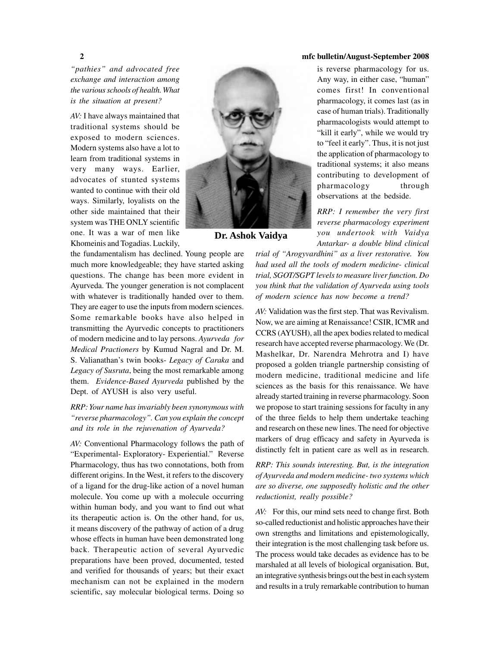*"pathies" and advocated free exchange and interaction among the various schools of health. What is the situation at present?*

*AV:* I have always maintained that traditional systems should be exposed to modern sciences. Modern systems also have a lot to learn from traditional systems in very many ways. Earlier, advocates of stunted systems wanted to continue with their old ways. Similarly, loyalists on the other side maintained that their system was THE ONLY scientific one. It was a war of men like Khomeinis and Togadias. Luckily,

the fundamentalism has declined. Young people are much more knowledgeable; they have started asking questions. The change has been more evident in Ayurveda. The younger generation is not complacent with whatever is traditionally handed over to them. They are eager to use the inputs from modern sciences. Some remarkable books have also helped in transmitting the Ayurvedic concepts to practitioners of modern medicine and to lay persons. *Ayurveda for Medical Practioners* by Kumud Nagral and Dr. M. S. Valianathan's twin books- *Legacy of Caraka* and *Legacy of Susruta*, being the most remarkable among them. *Evidence-Based Ayurveda* published by the Dept. of AYUSH is also very useful.

# *RRP: Your name has invariably been synonymous with "reverse pharmacology". Can you explain the concept and its role in the rejuvenation of Ayurveda?*

*AV:* Conventional Pharmacology follows the path of "Experimental- Exploratory- Experiential." Reverse Pharmacology, thus has two connotations, both from different origins. In the West, it refers to the discovery of a ligand for the drug-like action of a novel human molecule. You come up with a molecule occurring within human body, and you want to find out what its therapeutic action is. On the other hand, for us, it means discovery of the pathway of action of a drug whose effects in human have been demonstrated long back. Therapeutic action of several Ayurvedic preparations have been proved, documented, tested and verified for thousands of years; but their exact mechanism can not be explained in the modern scientific, say molecular biological terms. Doing so



*RRP: I remember the very first reverse pharmacology experiment you undertook with Vaidya Antarkar- a double blind clinical*

*trial of "Arogyvardhini" as a liver restorative. You had used all the tools of modern medicine- clinical trial, SGOT/SGPT levels to measure liver function. Do you think that the validation of Ayurveda using tools of modern science has now become a trend?*

**Dr. Ashok Vaidya**

*AV:* Validation was the first step. That was Revivalism. Now, we are aiming at Renaissance! CSIR, ICMR and CCRS (AYUSH), all the apex bodies related to medical research have accepted reverse pharmacology. We (Dr. Mashelkar, Dr. Narendra Mehrotra and I) have proposed a golden triangle partnership consisting of modern medicine, traditional medicine and life sciences as the basis for this renaissance. We have already started training in reverse pharmacology. Soon we propose to start training sessions for faculty in any of the three fields to help them undertake teaching and research on these new lines. The need for objective markers of drug efficacy and safety in Ayurveda is distinctly felt in patient care as well as in research.

*RRP: This sounds interesting. But, is the integration of Ayurveda and modern medicine- two systems which are so diverse, one supposedly holistic and the other reductionist, really possible?*

*AV:* For this, our mind sets need to change first. Both so-called reductionist and holistic approaches have their own strengths and limitations and epistemologically, their integration is the most challenging task before us. The process would take decades as evidence has to be marshaled at all levels of biological organisation. But, an integrative synthesis brings out the best in each system and results in a truly remarkable contribution to human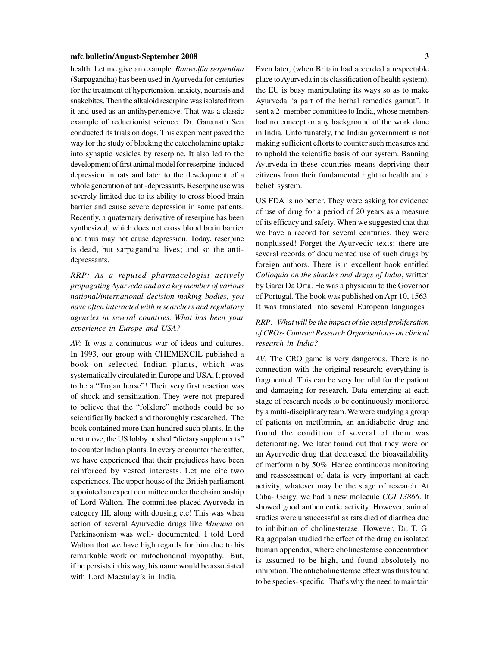health. Let me give an example. *Rauwolfia serpentina* (Sarpagandha) has been used in Ayurveda for centuries for the treatment of hypertension, anxiety, neurosis and snakebites. Then the alkaloid reserpine was isolated from it and used as an antihypertensive. That was a classic example of reductionist science. Dr. Gananath Sen conducted its trials on dogs. This experiment paved the way for the study of blocking the catecholamine uptake into synaptic vesicles by reserpine. It also led to the development of first animal model for reserpine- induced depression in rats and later to the development of a whole generation of anti-depressants. Reserpine use was severely limited due to its ability to cross blood brain barrier and cause severe depression in some patients. Recently, a quaternary derivative of reserpine has been synthesized, which does not cross blood brain barrier and thus may not cause depression. Today, reserpine is dead, but sarpagandha lives; and so the antidepressants.

*RRP: As a reputed pharmacologist actively propagating Ayurveda and as a key member of various national/international decision making bodies, you have often interacted with researchers and regulatory agencies in several countries. What has been your experience in Europe and USA?*

*AV:* It was a continuous war of ideas and cultures. In 1993, our group with CHEMEXCIL published a book on selected Indian plants, which was systematically circulated in Europe and USA. It proved to be a "Trojan horse"! Their very first reaction was of shock and sensitization. They were not prepared to believe that the "folklore" methods could be so scientifically backed and thoroughly researched. The book contained more than hundred such plants. In the next move, the US lobby pushed "dietary supplements" to counter Indian plants. In every encounter thereafter, we have experienced that their prejudices have been reinforced by vested interests. Let me cite two experiences. The upper house of the British parliament appointed an expert committee under the chairmanship of Lord Walton. The committee placed Ayurveda in category III, along with dousing etc! This was when action of several Ayurvedic drugs like *Mucuna* on Parkinsonism was well- documented. I told Lord Walton that we have high regards for him due to his remarkable work on mitochondrial myopathy. But, if he persists in his way, his name would be associated with Lord Macaulay's in India.

Even later, (when Britain had accorded a respectable place to Ayurveda in its classification of health system), the EU is busy manipulating its ways so as to make Ayurveda "a part of the herbal remedies gamut". It sent a 2- member committee to India, whose members had no concept or any background of the work done in India. Unfortunately, the Indian government is not making sufficient efforts to counter such measures and to uphold the scientific basis of our system. Banning Ayurveda in these countries means depriving their citizens from their fundamental right to health and a belief system.

US FDA is no better. They were asking for evidence of use of drug for a period of 20 years as a measure of its efficacy and safety. When we suggested that that we have a record for several centuries, they were nonplussed! Forget the Ayurvedic texts; there are several records of documented use of such drugs by foreign authors. There is n excellent book entitled *Colloquia on the simples and drugs of India*, written by Garci Da Orta. He was a physician to the Governor of Portugal. The book was published on Apr 10, 1563. It was translated into several European languages

# *RRP: What will be the impact of the rapid proliferation of CROs- Contract Research Organisations- on clinical research in India?*

*AV:* The CRO game is very dangerous. There is no connection with the original research; everything is fragmented. This can be very harmful for the patient and damaging for research. Data emerging at each stage of research needs to be continuously monitored by a multi-disciplinary team. We were studying a group of patients on metformin, an antidiabetic drug and found the condition of several of them was deteriorating. We later found out that they were on an Ayurvedic drug that decreased the bioavailability of metformin by 50%. Hence continuous monitoring and reassessment of data is very important at each activity, whatever may be the stage of research. At Ciba- Geigy, we had a new molecule *CGI 13866*. It showed good anthementic activity. However, animal studies were unsuccessful as rats died of diarrhea due to inhibition of cholinesterase. However, Dr. T. G. Rajagopalan studied the effect of the drug on isolated human appendix, where cholinesterase concentration is assumed to be high, and found absolutely no inhibition. The anticholinesterase effect was thus found to be species- specific. That's why the need to maintain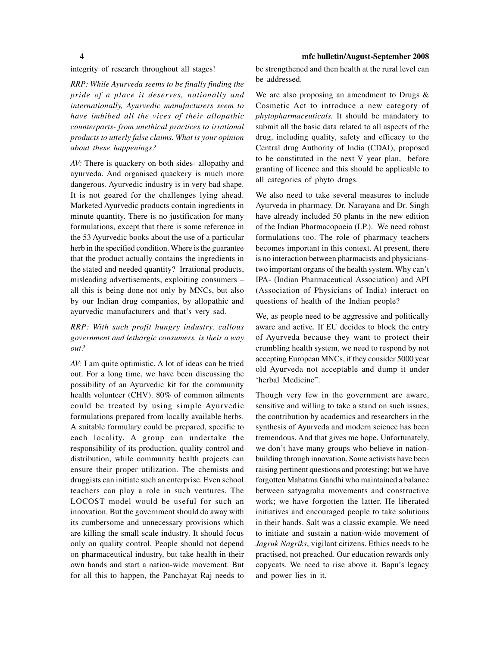integrity of research throughout all stages!

*RRP: While Ayurveda seems to be finally finding the pride of a place it deserves, nationally and internationally, Ayurvedic manufacturers seem to have imbibed all the vices of their allopathic counterparts- from unethical practices to irrational products to utterly false claims. What is your opinion about these happenings?*

*AV:* There is quackery on both sides- allopathy and ayurveda. And organised quackery is much more dangerous. Ayurvedic industry is in very bad shape. It is not geared for the challenges lying ahead. Marketed Ayurvedic products contain ingredients in minute quantity. There is no justification for many formulations, except that there is some reference in the 53 Ayurvedic books about the use of a particular herb in the specified condition. Where is the guarantee that the product actually contains the ingredients in the stated and needed quantity? Irrational products, misleading advertisements, exploiting consumers – all this is being done not only by MNCs, but also by our Indian drug companies, by allopathic and ayurvedic manufacturers and that's very sad.

# *RRP: With such profit hungry industry, callous government and lethargic consumers, is their a way out?*

*AV:* I am quite optimistic. A lot of ideas can be tried out. For a long time, we have been discussing the possibility of an Ayurvedic kit for the community health volunteer (CHV). 80% of common ailments could be treated by using simple Ayurvedic formulations prepared from locally available herbs. A suitable formulary could be prepared, specific to each locality. A group can undertake the responsibility of its production, quality control and distribution, while community health projects can ensure their proper utilization. The chemists and druggists can initiate such an enterprise. Even school teachers can play a role in such ventures. The LOCOST model would be useful for such an innovation. But the government should do away with its cumbersome and unnecessary provisions which are killing the small scale industry. It should focus only on quality control. People should not depend on pharmaceutical industry, but take health in their own hands and start a nation-wide movement. But for all this to happen, the Panchayat Raj needs to be strengthened and then health at the rural level can be addressed.

We are also proposing an amendment to Drugs & Cosmetic Act to introduce a new category of *phytopharmaceuticals.* It should be mandatory to submit all the basic data related to all aspects of the drug, including quality, safety and efficacy to the Central drug Authority of India (CDAI), proposed to be constituted in the next V year plan, before granting of licence and this should be applicable to all categories of phyto drugs.

We also need to take several measures to include Ayurveda in pharmacy. Dr. Narayana and Dr. Singh have already included 50 plants in the new edition of the Indian Pharmacopoeia (I.P.). We need robust formulations too. The role of pharmacy teachers becomes important in this context. At present, there is no interaction between pharmacists and physicianstwo important organs of the health system. Why can't IPA- (Indian Pharmaceutical Association) and API (Association of Physicians of India) interact on questions of health of the Indian people?

We, as people need to be aggressive and politically aware and active. If EU decides to block the entry of Ayurveda because they want to protect their crumbling health system, we need to respond by not accepting European MNCs, if they consider 5000 year old Ayurveda not acceptable and dump it under 'herbal Medicine".

Though very few in the government are aware, sensitive and willing to take a stand on such issues, the contribution by academics and researchers in the synthesis of Ayurveda and modern science has been tremendous. And that gives me hope. Unfortunately, we don't have many groups who believe in nationbuilding through innovation. Some activists have been raising pertinent questions and protesting; but we have forgotten Mahatma Gandhi who maintained a balance between satyagraha movements and constructive work; we have forgotten the latter. He liberated initiatives and encouraged people to take solutions in their hands. Salt was a classic example. We need to initiate and sustain a nation-wide movement of *Jagruk Nagriks*, vigilant citizens. Ethics needs to be practised, not preached. Our education rewards only copycats. We need to rise above it. Bapu's legacy and power lies in it.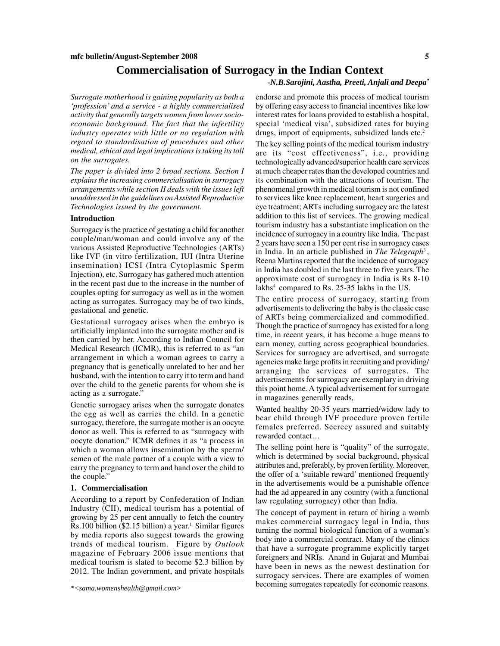# **Commercialisation of Surrogacy in the Indian Context**

#### *-N.B.Sarojini, Aastha, Preeti, Anjali and Deepa\**

*Surrogate motherhood is gaining popularity as both a 'profession' and a service - a highly commercialised activity that generally targets women from lower socioeconomic background. The fact that the infertility industry operates with little or no regulation with regard to standardisation of procedures and other medical, ethical and legal implications is taking its toll on the surrogates.*

*The paper is divided into 2 broad sections. Section I explains the increasing commercialisation in surrogacy arrangements while section II deals with the issues left unaddressed in the guidelines on Assisted Reproductive Technologies issued by the government.*

### **Introduction**

Surrogacy is the practice of gestating a child for another couple/man/woman and could involve any of the various Assisted Reproductive Technologies (ARTs) like IVF (in vitro fertilization, IUI (Intra Uterine insemination) ICSI (Intra Cytoplasmic Sperm Injection), etc. Surrogacy has gathered much attention in the recent past due to the increase in the number of couples opting for surrogacy as well as in the women acting as surrogates. Surrogacy may be of two kinds, gestational and genetic.

Gestational surrogacy arises when the embryo is artificially implanted into the surrogate mother and is then carried by her. According to Indian Council for Medical Research (ICMR), this is referred to as "an arrangement in which a woman agrees to carry a pregnancy that is genetically unrelated to her and her husband, with the intention to carry it to term and hand over the child to the genetic parents for whom she is acting as a surrogate."

Genetic surrogacy arises when the surrogate donates the egg as well as carries the child. In a genetic surrogacy, therefore, the surrogate mother is an oocyte donor as well. This is referred to as "surrogacy with oocyte donation." ICMR defines it as "a process in which a woman allows insemination by the sperm/ semen of the male partner of a couple with a view to carry the pregnancy to term and hand over the child to the couple."

#### **1. Commercialisation**

According to a report by Confederation of Indian Industry (CII), medical tourism has a potential of growing by 25 per cent annually to fetch the country Rs.100 billion (\$2.15 billion) a year.<sup>1</sup> Similar figures by media reports also suggest towards the growing trends of medical tourism. Figure by *Outlook* magazine of February 2006 issue mentions that medical tourism is slated to become \$2.3 billion by 2012. The Indian government, and private hospitals endorse and promote this process of medical tourism by offering easy access to financial incentives like low interest rates for loans provided to establish a hospital, special 'medical visa', subsidized rates for buying drugs, import of equipments, subsidized lands etc.<sup>2</sup>

The key selling points of the medical tourism industry are its "cost effectiveness", i.e., providing technologically advanced/superior health care services at much cheaper rates than the developed countries and its combination with the attractions of tourism. The phenomenal growth in medical tourism is not confined to services like knee replacement, heart surgeries and eye treatment; ARTs including surrogacy are the latest addition to this list of services. The growing medical tourism industry has a substantiate implication on the incidence of surrogacy in a country like India. The past 2 years have seen a 150 per cent rise in surrogacy cases in India. In an article published in *The Telegraph*<sup>3</sup> , Reena Martins reported that the incidence of surrogacy in India has doubled in the last three to five years. The approximate cost of surrogacy in India is Rs 8-10 lakhs<sup>4</sup> compared to Rs. 25-35 lakhs in the US.

The entire process of surrogacy, starting from advertisements to delivering the baby is the classic case of ARTs being commercialized and commodified. Though the practice of surrogacy has existed for a long time, in recent years, it has become a huge means to earn money, cutting across geographical boundaries. Services for surrogacy are advertised, and surrogate agencies make large profits in recruiting and providing/ arranging the services of surrogates. The advertisements for surrogacy are exemplary in driving this point home. A typical advertisement for surrogate in magazines generally reads,

Wanted healthy 20-35 years married/widow lady to bear child through IVF procedure proven fertile females preferred. Secrecy assured and suitably rewarded contact…

The selling point here is "quality" of the surrogate, which is determined by social background, physical attributes and, preferably, by proven fertility. Moreover, the offer of a 'suitable reward' mentioned frequently in the advertisements would be a punishable offence had the ad appeared in any country (with a functional law regulating surrogacy) other than India.

The concept of payment in return of hiring a womb makes commercial surrogacy legal in India, thus turning the normal biological function of a woman's body into a commercial contract. Many of the clinics that have a surrogate programme explicitly target foreigners and NRIs. Anand in Gujarat and Mumbai have been in news as the newest destination for surrogacy services. There are examples of women becoming surrogates repeatedly for economic reasons.

*<sup>\*&</sup>lt;sama.womenshealth@gmail.com>*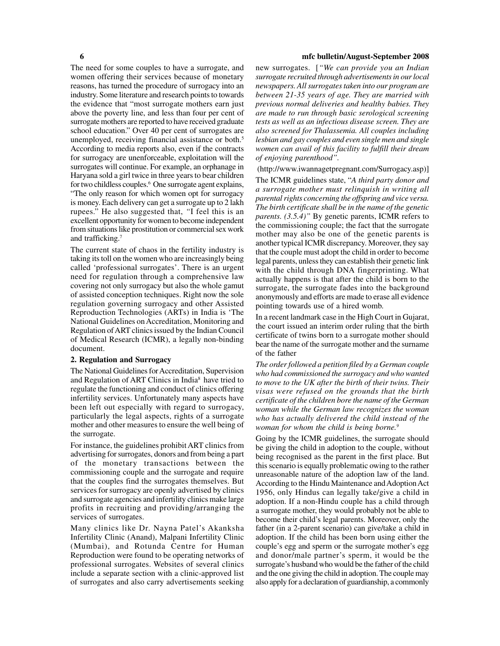The need for some couples to have a surrogate, and women offering their services because of monetary reasons, has turned the procedure of surrogacy into an industry. Some literature and research points to towards the evidence that "most surrogate mothers earn just above the poverty line, and less than four per cent of surrogate mothers are reported to have received graduate school education." Over 40 per cent of surrogates are unemployed, receiving financial assistance or both.5 According to media reports also, even if the contracts for surrogacy are unenforceable, exploitation will the surrogates will continue. For example, an orphanage in Haryana sold a girl twice in three years to bear children for two childless couples.<sup>6</sup> One surrogate agent explains, "The only reason for which women opt for surrogacy is money. Each delivery can get a surrogate up to 2 lakh rupees." He also suggested that, *"*I feel this is an excellent opportunity for women to become independent from situations like prostitution or commercial sex work and trafficking.7

The current state of chaos in the fertility industry is taking its toll on the women who are increasingly being called 'professional surrogates'. There is an urgent need for regulation through a comprehensive law covering not only surrogacy but also the whole gamut of assisted conception techniques. Right now the sole regulation governing surrogacy and other Assisted Reproduction Technologies (ARTs) in India is 'The National Guidelines on Accreditation, Monitoring and Regulation of ART clinics issued by the Indian Council of Medical Research (ICMR), a legally non-binding document.

#### **2. Regulation and Surrogacy**

The National Guidelines for Accreditation, Supervision and Regulation of ART Clinics in India<sup>8</sup> have tried to regulate the functioning and conduct of clinics offering infertility services. Unfortunately many aspects have been left out especially with regard to surrogacy, particularly the legal aspects, rights of a surrogate mother and other measures to ensure the well being of the surrogate.

For instance, the guidelines prohibit ART clinics from advertising for surrogates, donors and from being a part of the monetary transactions between the commissioning couple and the surrogate and require that the couples find the surrogates themselves. But services for surrogacy are openly advertised by clinics and surrogate agencies and infertility clinics make large profits in recruiting and providing/arranging the services of surrogates.

Many clinics like Dr. Nayna Patel's Akanksha Infertility Clinic (Anand), Malpani Infertility Clinic (Mumbai), and Rotunda Centre for Human Reproduction were found to be operating networks of professional surrogates. Websites of several clinics include a separate section with a clinic-approved list of surrogates and also carry advertisements seeking new surrogates. [*"We can provide you an Indian surrogate recruited through advertisements in our local newspapers. All surrogates taken into our program are between 21-35 years of age. They are married with previous normal deliveries and healthy babies. They are made to run through basic serological screening tests as well as an infectious disease screen. They are also screened for Thalassemia. All couples including lesbian and gay couples and even single men and single women can avail of this facility to fulfill their dream of enjoying parenthood".*

(http://www.iwannagetpregnant.com/Surrogacy.asp)]

The ICMR guidelines state, "*A third party donor and a surrogate mother must relinquish in writing all parental rights concerning the offspring and vice versa. The birth certificate shall be in the name of the genetic parents. (3.5.4)*" By genetic parents, ICMR refers to the commissioning couple; the fact that the surrogate mother may also be one of the genetic parents is another typical ICMR discrepancy. Moreover, they say that the couple must adopt the child in order to become legal parents, unless they can establish their genetic link with the child through DNA fingerprinting. What actually happens is that after the child is born to the surrogate, the surrogate fades into the background anonymously and efforts are made to erase all evidence pointing towards use of a hired womb.

In a recent landmark case in the High Court in Gujarat, the court issued an interim order ruling that the birth certificate of twins born to a surrogate mother should bear the name of the surrogate mother and the surname of the father

*The order followed a petition filed by a German couple who had commissioned the surrogacy and who wanted to move to the UK after the birth of their twins. Their visas were refused on the grounds that the birth certificate of the children bore the name of the German woman while the German law recognizes the woman who has actually delivered the child instead of the woman for whom the child is being borne.9*

Going by the ICMR guidelines, the surrogate should be giving the child in adoption to the couple, without being recognised as the parent in the first place. But this scenario is equally problematic owing to the rather unreasonable nature of the adoption law of the land. According to the Hindu Maintenance and Adoption Act 1956, only Hindus can legally take/give a child in adoption. If a non-Hindu couple has a child through a surrogate mother, they would probably not be able to become their child's legal parents. Moreover, only the father (in a 2-parent scenario) can give/take a child in adoption. If the child has been born using either the couple's egg and sperm or the surrogate mother's egg and donor/male partner's sperm, it would be the surrogate's husband who would be the father of the child and the one giving the child in adoption. The couple may also apply for a declaration of guardianship, a commonly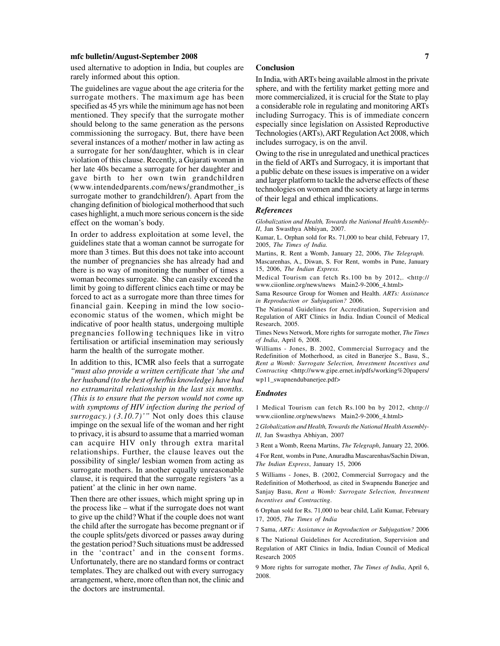used alternative to adoption in India, but couples are rarely informed about this option.

The guidelines are vague about the age criteria for the surrogate mothers. The maximum age has been specified as 45 yrs while the minimum age has not been mentioned. They specify that the surrogate mother should belong to the same generation as the persons commissioning the surrogacy. But, there have been several instances of a mother/ mother in law acting as a surrogate for her son/daughter, which is in clear violation of this clause. Recently, a Gujarati woman in her late 40s became a surrogate for her daughter and gave birth to her own twin grandchildren (www.intendedparents.com/news/grandmother\_is surrogate mother to grandchildren/). Apart from the changing definition of biological motherhood that such cases highlight, a much more serious concern is the side effect on the woman's body.

In order to address exploitation at some level, the guidelines state that a woman cannot be surrogate for more than 3 times. But this does not take into account the number of pregnancies she has already had and there is no way of monitoring the number of times a woman becomes surrogate. She can easily exceed the limit by going to different clinics each time or may be forced to act as a surrogate more than three times for financial gain. Keeping in mind the low socioeconomic status of the women, which might be indicative of poor health status, undergoing multiple pregnancies following techniques like in vitro fertilisation or artificial insemination may seriously harm the health of the surrogate mother.

In addition to this, ICMR also feels that a surrogate *"must also provide a written certificate that 'she and her husband (to the best of her/his knowledge) have had no extramarital relationship in the last six months. (This is to ensure that the person would not come up with symptoms of HIV infection during the period of surrogacy.) (3.10.7)'"* Not only does this clause impinge on the sexual life of the woman and her right to privacy, it is absurd to assume that a married woman can acquire HIV only through extra marital relationships. Further, the clause leaves out the possibility of single/ lesbian women from acting as surrogate mothers. In another equally unreasonable clause, it is required that the surrogate registers 'as a patient' at the clinic in her own name.

Then there are other issues, which might spring up in the process like – what if the surrogate does not want to give up the child? What if the couple does not want the child after the surrogate has become pregnant or if the couple splits/gets divorced or passes away during the gestation period? Such situations must be addressed in the 'contract' and in the consent forms. Unfortunately, there are no standard forms or contract templates. They are chalked out with every surrogacy arrangement, where, more often than not, the clinic and the doctors are instrumental.

#### **Conclusion**

In India, with ARTs being available almost in the private sphere, and with the fertility market getting more and more commercialized, it is crucial for the State to play a considerable role in regulating and monitoring ARTs including Surrogacy. This is of immediate concern especially since legislation on Assisted Reproductive Technologies (ARTs), ART Regulation Act 2008, which includes surrogacy, is on the anvil.

Owing to the rise in unregulated and unethical practices in the field of ARTs and Surrogacy, it is important that a public debate on these issues is imperative on a wider and larger platform to tackle the adverse effects of these technologies on women and the society at large in terms of their legal and ethical implications.

#### *References*

*Globalization and Health, Towards the National Health Assembly-II*, Jan Swasthya Abhiyan, 2007.

Kumar, L. Orphan sold for Rs. 71,000 to bear child, February 17, 2005, *The Times of India.*

Martins, R. Rent a Womb, January 22, 2006, *The Telegraph.*

Mascarenhas, A., Diwan, S. For Rent, wombs in Pune, January 15, 2006, *The Indian Express.*

Medical Tourism can fetch Rs.100 bn by 2012,. <http:// www.ciionline.org/news/news Main2-9-2006\_4.html>

Sama Resource Group for Women and Health. *ARTs: Assistance in Reproduction or Subjugation?* 2006.

The National Guidelines for Accreditation, Supervision and Regulation of ART Clinics in India. Indian Council of Medical Research, 2005.

Times News Network, More rights for surrogate mother, *The Times of India*, April 6, 2008.

Williams - Jones, B. 2002, Commercial Surrogacy and the Redefinition of Motherhood, as cited in Banerjee S., Basu, S., *Rent a Womb: Surrogate Selection, Investment Incentives and Contracting* <http://www.gipe.ernet.in/pdfs/working%20papers/ wp11\_swapnendubanerjee.pdf>

#### *Endnotes*

1 Medical Tourism can fetch Rs.100 bn by 2012, <http:// www.ciionline.org/news/news Main2-9-2006\_4.html>

2 *Globalization and Health, Towards the National Health Assembly-II*, Jan Swasthya Abhiyan, 2007

3 Rent a Womb, Reena Martins, *The Telegraph*, January 22, 2006.

4 For Rent, wombs in Pune, Anuradha Mascarenhas/Sachin Diwan, *The Indian Express*, January 15, 2006

5 Williams - Jones, B. (2002, Commercial Surrogacy and the Redefinition of Motherhood, as cited in Swapnendu Banerjee and Sanjay Basu, *Rent a Womb: Surrogate Selection, Investment Incentives and Contracting*.

6 Orphan sold for Rs. 71,000 to bear child, Lalit Kumar, February 17, 2005, *The Times of India*

7 Sama, *ARTs: Assistance in Reproduction or Subjugation?* 2006

8 The National Guidelines for Accreditation, Supervision and Regulation of ART Clinics in India, Indian Council of Medical Research 2005

9 More rights for surrogate mother, *The Times of India*, April 6, 2008.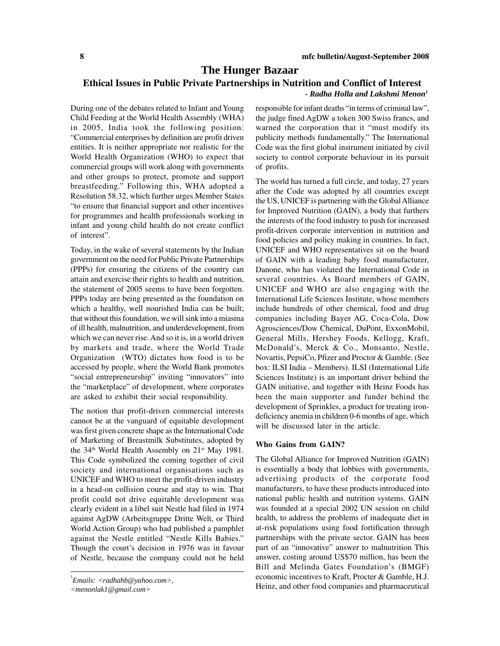# **The Hunger Bazaar**

# **Ethical Issues in Public Private Partnerships in Nutrition and Conflict of Interest**

### *- Radha Holla and Lakshmi Menon1*

During one of the debates related to Infant and Young Child Feeding at the World Health Assembly (WHA) in 2005, India took the following position: "Commercial enterprises by definition are profit driven entities. It is neither appropriate nor realistic for the World Health Organization (WHO) to expect that commercial groups will work along with governments and other groups to protect, promote and support breastfeeding." Following this, WHA adopted a Resolution 58.32, which further urges Member States "to ensure that financial support and other incentives for programmes and health professionals working in infant and young child health do not create conflict of interest".

Today, in the wake of several statements by the Indian government on the need for Public Private Partnerships (PPPs) for ensuring the citizens of the country can attain and exercise their rights to health and nutrition, the statement of 2005 seems to have been forgotten. PPPs today are being presented as the foundation on which a healthy, well nourished India can be built; that without this foundation, we will sink into a miasma of ill health, malnutrition, and underdevelopment, from which we can never rise. And so it is, in a world driven by markets and trade, where the World Trade Organization (WTO) dictates how food is to be accessed by people, where the World Bank promotes "social entrepreneurship" inviting "innovators" into the "marketplace" of development, where corporates are asked to exhibit their social responsibility.

The notion that profit-driven commercial interests cannot be at the vanguard of equitable development was first given concrete shape as the International Code of Marketing of Breastmilk Substitutes, adopted by the 34<sup>th</sup> World Health Assembly on 21<sup>st</sup> May 1981. This Code symbolized the coming together of civil society and international organisations such as UNICEF and WHO to meet the profit-driven industry in a head-on collision course and stay to win. That profit could not drive equitable development was clearly evident in a libel suit Nestle had filed in 1974 against AgDW (Arbeitsgruppe Dritte Welt, or Third World Action Group) who had published a pamphlet against the Nestle entitled "Nestle Kills Babies." Though the court's decision in 1976 was in favour of Nestle, because the company could not be held

responsible for infant deaths "in terms of criminal law", the judge fined AgDW a token 300 Swiss francs, and warned the corporation that it "must modify its publicity methods fundamentally." The International Code was the first global instrument initiated by civil society to control corporate behaviour in its pursuit of profits.

The world has turned a full circle, and today, 27 years after the Code was adopted by all countries except the US, UNICEF is partnering with the Global Alliance for Improved Nutrition (GAIN), a body that furthers the interests of the food industry to push for increased profit-driven corporate intervention in nutrition and food policies and policy making in countries. In fact, UNICEF and WHO representatives sit on the board of GAIN with a leading baby food manufacturer, Danone, who has violated the International Code in several countries. As Board members of GAIN, UNICEF and WHO are also engaging with the International Life Sciences Institute, whose members include hundreds of other chemical, food and drug companies including Bayer AG, Coca-Cola, Dow Agrosciences/Dow Chemical, DuPont, ExxonMobil, General Mills, Hershey Foods, Kellogg, Kraft, McDonald's, Merck & Co., Monsanto, Nestle, Novartis, PepsiCo, Pfizer and Proctor & Gamble. (See box: ILSI India – Members). ILSI (International Life Sciences Institute) is an important driver behind the GAIN initiative, and together with Heinz Foods has been the main supporter and funder behind the development of Sprinkles, a product for treating irondeficiency anemia in children 0-6 months of age, which will be discussed later in the article.

#### **Who Gains from GAIN?**

The Global Alliance for Improved Nutrition (GAIN) is essentially a body that lobbies with governments, advertising products of the corporate food manufacturers, to have these products introduced into national public health and nutrition systems. GAIN was founded at a special 2002 UN session on child health, to address the problems of inadequate diet in at-risk populations using food fortification through partnerships with the private sector. GAIN has been part of an "innovative" answer to malnutrition This answer, costing around US\$70 million, has been the Bill and Melinda Gates Foundation's (BMGF) economic incentives to Kraft, Procter & Gamble, H.J. Heinz, and other food companies and pharmaceutical

*<sup>1</sup> Emails: <radhahb@yahoo.com>,*

*<sup>&</sup>lt;menonlak1@gmail.com>*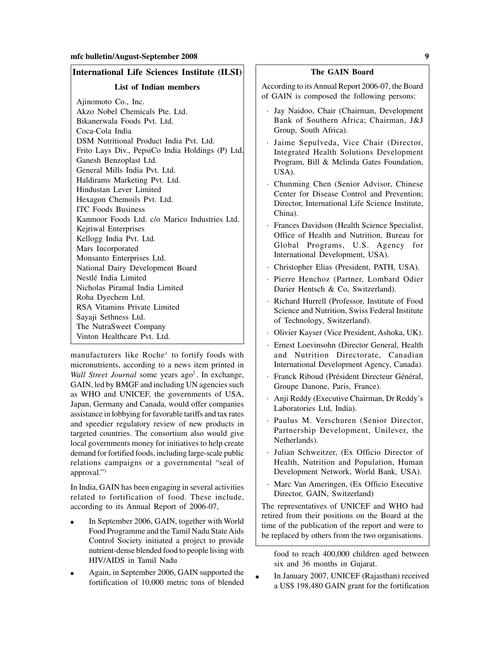### **International Life Sciences Institute (ILSI)**

**List of Indian members**

Ajinomoto Co., Inc. Akzo Nobel Chemicals Pte. Ltd. Bikanerwala Foods Pvt. Ltd. Coca-Cola India DSM Nutritional Product India Pvt. Ltd. Frito Lays Div., PepsiCo India Holdings (P) Ltd. Ganesh Benzoplast Ltd. General Mills India Pvt. Ltd. Haldirams Marketing Pvt. Ltd. Hindustan Lever Limited Hexagon Chemoils Pvt. Ltd. ITC Foods Business Kanmoor Foods Ltd. c/o Marico Industries Ltd. Kejriwal Enterprises Kellogg India Pvt. Ltd. Mars Incorporated Monsanto Enterprises Ltd. National Dairy Development Board Nestlé India Limited Nicholas Piramal India Limited Roha Dyechem Ltd. RSA Vitamins Private Limited Sayaji Sethness Ltd. The NutraSweet Company Vinton Healthcare Pvt. Ltd.

manufacturers like Roche<sup>1</sup> to fortify foods with micronutrients, according to a news item printed in *Wall Street Journal* some years ago<sup>2</sup>. In exchange, GAIN, led by BMGF and including UN agencies such as WHO and UNICEF, the governments of USA, Japan, Germany and Canada, would offer companies assistance in lobbying for favorable tariffs and tax rates and speedier regulatory review of new products in targeted countries. The consortium also would give local governments money for initiatives to help create demand for fortified foods, including large-scale public relations campaigns or a governmental "seal of approval."3

In India, GAIN has been engaging in several activities related to fortification of food. These include, according to its Annual Report of 2006-07,

- In September 2006, GAIN, together with World Food Programme and the Tamil Nadu State Aids Control Society initiated a project to provide nutrient-dense blended food to people living with HIV/AIDS in Tamil Nadu
- Again, in September 2006, GAIN supported the fortification of 10,000 metric tons of blended

According to its Annual Report 2006-07, the Board of GAIN is composed the following persons:

- · Jay Naidoo, Chair (Chairman, Development Bank of Southern Africa; Chairman, J&J Group, South Africa).
- Jaime Sepulveda, Vice Chair (Director, Integrated Health Solutions Development Program, Bill & Melinda Gates Foundation, USA).
- · Chunming Chen (Senior Advisor, Chinese Center for Disease Control and Prevention; Director, International Life Science Institute, China).
- · Frances Davidson (Health Science Specialist, Office of Health and Nutrition, Bureau for Global Programs, U.S. Agency for International Development, USA).
- · Christopher Elias (President, PATH, USA).
- Pierre Henchoz (Partner, Lombard Odier Darier Hentsch & Co, Switzerland).
- Richard Hurrell (Professor, Institute of Food Science and Nutrition, Swiss Federal Institute of Technology, Switzerland).
- · Olivier Kayser (Vice President, Ashoka, UK).
- · Ernest Loevinsohn (Director General, Health and Nutrition Directorate, Canadian International Development Agency, Canada).
- · Franck Riboud (Président Directeur Général, Groupe Danone, Paris, France).
- · Anji Reddy (Executive Chairman, Dr Reddy's Laboratories Ltd, India).
- Paulus M. Verschuren (Senior Director, Partnership Development, Unilever, the Netherlands).
- · Julian Schweitzer, (Ex Officio Director of Health, Nutrition and Population, Human Development Network, World Bank, USA).
- Marc Van Ameringen, (Ex Officio Executive Director, GAIN, Switzerland)

The representatives of UNICEF and WHO had retired from their positions on the Board at the time of the publication of the report and were to be replaced by others from the two organisations.

food to reach 400,000 children aged between six and 36 months in Gujarat.

In January 2007, UNICEF (Rajasthan) received a US\$ 198,480 GAIN grant for the fortification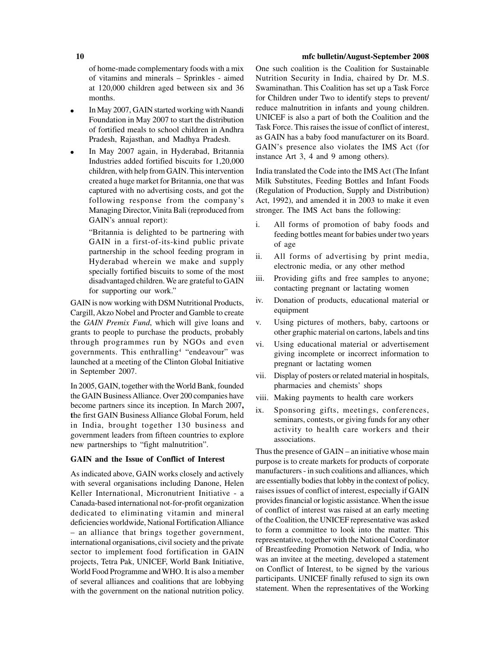of home-made complementary foods with a mix of vitamins and minerals – Sprinkles - aimed at 120,000 children aged between six and 36 months.

- In May 2007, GAIN started working with Naandi Foundation in May 2007 to start the distribution of fortified meals to school children in Andhra Pradesh, Rajasthan, and Madhya Pradesh.
- In May 2007 again, in Hyderabad, Britannia Industries added fortified biscuits for 1,20,000 children, with help from GAIN. This intervention created a huge market for Britannia, one that was captured with no advertising costs, and got the following response from the company's Managing Director, Vinita Bali (reproduced from GAIN's annual report):

"Britannia is delighted to be partnering with GAIN in a first-of-its-kind public private partnership in the school feeding program in Hyderabad wherein we make and supply specially fortified biscuits to some of the most disadvantaged children. We are grateful to GAIN for supporting our work."

GAIN is now working with DSM Nutritional Products, Cargill, Akzo Nobel and Procter and Gamble to create the *GAIN Premix Fund*, which will give loans and grants to people to purchase the products, probably through programmes run by NGOs and even governments. This enthralling4 "endeavour" was launched at a meeting of the Clinton Global Initiative in September 2007.

In 2005, GAIN, together with the World Bank, founded the GAIN Business Alliance. Over 200 companies have become partners since its inception. In March 2007**, t**he first GAIN Business Alliance Global Forum, held in India, brought together 130 business and government leaders from fifteen countries to explore new partnerships to "fight malnutrition".

#### **GAIN and the Issue of Conflict of Interest**

As indicated above, GAIN works closely and actively with several organisations including Danone, Helen Keller International, Micronutrient Initiative - a Canada-based international not-for-profit organization dedicated to eliminating vitamin and mineral deficiencies worldwide, National Fortification Alliance – an alliance that brings together government, international organisations, civil society and the private sector to implement food fortification in GAIN projects, Tetra Pak, UNICEF, World Bank Initiative, World Food Programme and WHO. It is also a member of several alliances and coalitions that are lobbying with the government on the national nutrition policy.

One such coalition is the Coalition for Sustainable Nutrition Security in India, chaired by Dr. M.S. Swaminathan. This Coalition has set up a Task Force for Children under Two to identify steps to prevent/ reduce malnutrition in infants and young children. UNICEF is also a part of both the Coalition and the Task Force. This raises the issue of conflict of interest, as GAIN has a baby food manufacturer on its Board. GAIN's presence also violates the IMS Act (for instance Art 3, 4 and 9 among others).

India translated the Code into the IMS Act (The Infant Milk Substitutes, Feeding Bottles and Infant Foods (Regulation of Production, Supply and Distribution) Act, 1992), and amended it in 2003 to make it even stronger. The IMS Act bans the following:

- i. All forms of promotion of baby foods and feeding bottles meant for babies under two years of age
- ii. All forms of advertising by print media, electronic media, or any other method
- iii. Providing gifts and free samples to anyone; contacting pregnant or lactating women
- iv. Donation of products, educational material or equipment
- v. Using pictures of mothers, baby, cartoons or other graphic material on cartons, labels and tins
- vi. Using educational material or advertisement giving incomplete or incorrect information to pregnant or lactating women
- vii. Display of posters or related material in hospitals, pharmacies and chemists' shops
- viii. Making payments to health care workers
- ix. Sponsoring gifts, meetings, conferences, seminars, contests, or giving funds for any other activity to health care workers and their associations.

Thus the presence of GAIN – an initiative whose main purpose is to create markets for products of corporate manufacturers - in such coalitions and alliances, which are essentially bodies that lobby in the context of policy, raises issues of conflict of interest, especially if GAIN provides financial or logistic assistance. When the issue of conflict of interest was raised at an early meeting of the Coalition, the UNICEF representative was asked to form a committee to look into the matter. This representative, together with the National Coordinator of Breastfeeding Promotion Network of India, who was an invitee at the meeting, developed a statement on Conflict of Interest, to be signed by the various participants. UNICEF finally refused to sign its own statement. When the representatives of the Working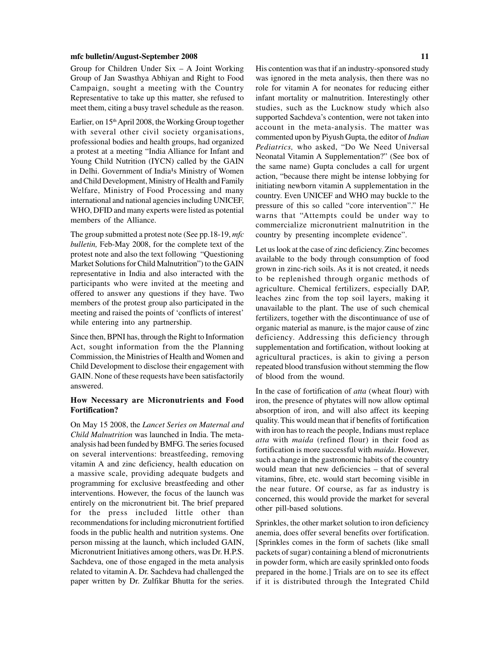Group for Children Under Six – A Joint Working Group of Jan Swasthya Abhiyan and Right to Food Campaign, sought a meeting with the Country Representative to take up this matter, she refused to meet them, citing a busy travel schedule as the reason.

Earlier, on 15th April 2008, the Working Group together with several other civil society organisations, professional bodies and health groups, had organized a protest at a meeting "India Alliance for Infant and Young Child Nutrition (IYCN) called by the GAIN in Delhi. Government of India<sup>1</sup>s Ministry of Women and Child Development, Ministry of Health and Family Welfare, Ministry of Food Processing and many international and national agencies including UNICEF, WHO, DFID and many experts were listed as potential members of the Alliance.

The group submitted a protest note (See pp.18-19, *mfc bulletin,* Feb-May 2008, for the complete text of the protest note and also the text following "Questioning Market Solutions for Child Malnutrition") to the GAIN representative in India and also interacted with the participants who were invited at the meeting and offered to answer any questions if they have. Two members of the protest group also participated in the meeting and raised the points of 'conflicts of interest' while entering into any partnership.

Since then, BPNI has, through the Right to Information Act, sought information from the the Planning Commission, the Ministries of Health and Women and Child Development to disclose their engagement with GAIN. None of these requests have been satisfactorily answered.

#### **How Necessary are Micronutrients and Food Fortification?**

On May 15 2008, the *Lancet Series on Maternal and Child Malnutrition* was launched in India. The metaanalysis had been funded by BMFG. The series focused on several interventions: breastfeeding, removing vitamin A and zinc deficiency, health education on a massive scale, providing adequate budgets and programming for exclusive breastfeeding and other interventions. However, the focus of the launch was entirely on the micronutrient bit. The brief prepared for the press included little other than recommendations for including micronutrient fortified foods in the public health and nutrition systems. One person missing at the launch, which included GAIN, Micronutrient Initiatives among others, was Dr. H.P.S. Sachdeva, one of those engaged in the meta analysis related to vitamin A. Dr. Sachdeva had challenged the paper written by Dr. Zulfikar Bhutta for the series.

His contention was that if an industry-sponsored study was ignored in the meta analysis, then there was no role for vitamin A for neonates for reducing either infant mortality or malnutrition. Interestingly other studies, such as the Lucknow study which also supported Sachdeva's contention, were not taken into account in the meta-analysis. The matter was commented upon by Piyush Gupta, the editor of *Indian Pediatrics,* who asked, "Do We Need Universal Neonatal Vitamin A Supplementation?" (See box of the same name) Gupta concludes a call for urgent action, "because there might be intense lobbying for initiating newborn vitamin A supplementation in the country. Even UNICEF and WHO may buckle to the pressure of this so called "core intervention"." He warns that "Attempts could be under way to commercialize micronutrient malnutrition in the country by presenting incomplete evidence".

Let us look at the case of zinc deficiency. Zinc becomes available to the body through consumption of food grown in zinc-rich soils. As it is not created, it needs to be replenished through organic methods of agriculture. Chemical fertilizers, especially DAP, leaches zinc from the top soil layers, making it unavailable to the plant. The use of such chemical fertilizers, together with the discontinuance of use of organic material as manure, is the major cause of zinc deficiency. Addressing this deficiency through supplementation and fortification, without looking at agricultural practices, is akin to giving a person repeated blood transfusion without stemming the flow of blood from the wound.

In the case of fortification of *atta* (wheat flour) with iron, the presence of phytates will now allow optimal absorption of iron, and will also affect its keeping quality. This would mean that if benefits of fortification with iron has to reach the people, Indians must replace *atta* with *maida* (refined flour) in their food as fortification is more successful with *maida*. However, such a change in the gastronomic habits of the country would mean that new deficiencies – that of several vitamins, fibre, etc. would start becoming visible in the near future. Of course, as far as industry is concerned, this would provide the market for several other pill-based solutions.

Sprinkles, the other market solution to iron deficiency anemia, does offer several benefits over fortification. [Sprinkles comes in the form of sachets (like small packets of sugar) containing a blend of micronutrients in powder form, which are easily sprinkled onto foods prepared in the home.] Trials are on to see its effect if it is distributed through the Integrated Child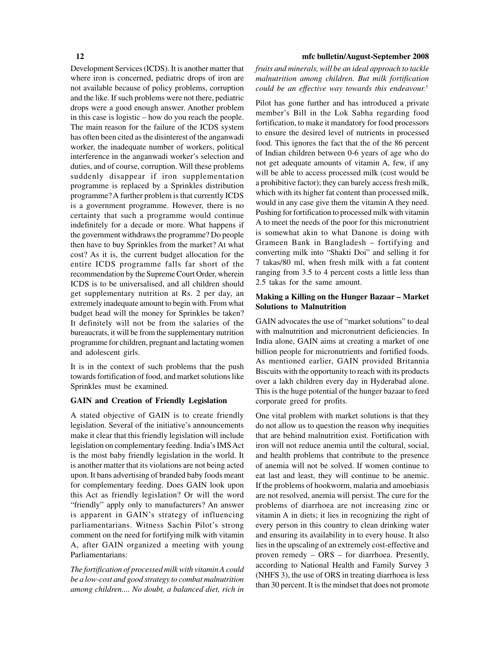Development Services (ICDS). It is another matter that where iron is concerned, pediatric drops of iron are not available because of policy problems, corruption and the like. If such problems were not there, pediatric drops were a good enough answer. Another problem in this case is logistic – how do you reach the people. The main reason for the failure of the ICDS system has often been cited as the disinterest of the anganwadi worker, the inadequate number of workers, political interference in the anganwadi worker's selection and duties, and of course, corruption. Will these problems suddenly disappear if iron supplementation programme is replaced by a Sprinkles distribution programme? A further problem is that currently ICDS is a government programme. However, there is no certainty that such a programme would continue indefinitely for a decade or more. What happens if the government withdraws the programme? Do people then have to buy Sprinkles from the market? At what cost? As it is, the current budget allocation for the entire ICDS programme falls far short of the recommendation by the Supreme Court Order, wherein ICDS is to be universalised, and all children should get supplementary nutrition at Rs. 2 per day, an extremely inadequate amount to begin with. From what budget head will the money for Sprinkles be taken? It definitely will not be from the salaries of the bureaucrats, it will be from the supplementary nutrition programme for children, pregnant and lactating women and adolescent girls.

It is in the context of such problems that the push towards fortification of food, and market solutions like Sprinkles must be examined.

#### **GAIN and Creation of Friendly Legislation**

A stated objective of GAIN is to create friendly legislation. Several of the initiative's announcements make it clear that this friendly legislation will include legislation on complementary feeding. India's IMS Act is the most baby friendly legislation in the world. It is another matter that its violations are not being acted upon. It bans advertising of branded baby foods meant for complementary feeding. Does GAIN look upon this Act as friendly legislation? Or will the word "friendly" apply only to manufacturers? An answer is apparent in GAIN's strategy of influencing parliamentarians. Witness Sachin Pilot's strong comment on the need for fortifying milk with vitamin A, after GAIN organized a meeting with young Parliamentarians:

*The fortification of processed milk with vitamin A could be a low-cost and good strategy to combat malnutrition among children.... No doubt, a balanced diet, rich in*

#### **12 mfc bulletin/August-September 2008**

*fruits and minerals, will be an ideal approach to tackle malnutrition among children. But milk fortification could be an effective way towards this endeavour.5*

Pilot has gone further and has introduced a private member's Bill in the Lok Sabha regarding food fortification, to make it mandatory for food processors to ensure the desired level of nutrients in processed food. This ignores the fact that the of the 86 percent of Indian children between 0-6 years of age who do not get adequate amounts of vitamin A, few, if any will be able to access processed milk (cost would be a prohibitive factor); they can barely access fresh milk, which with its higher fat content than processed milk, would in any case give them the vitamin A they need. Pushing for fortification to processed milk with vitamin A to meet the needs of the poor for this micronutrient is somewhat akin to what Danone is doing with Grameen Bank in Bangladesh – fortifying and converting milk into "Shakti Doi" and selling it for 7 takas/80 ml, when fresh milk with a fat content ranging from 3.5 to 4 percent costs a little less than 2.5 takas for the same amount.

### **Making a Killing on the Hunger Bazaar – Market Solutions to Malnutrition**

GAIN advocates the use of "market solutions" to deal with malnutrition and micronutrient deficiencies. In India alone, GAIN aims at creating a market of one billion people for micronutrients and fortified foods. As mentioned earlier, GAIN provided Britannia Biscuits with the opportunity to reach with its products over a lakh children every day in Hyderabad alone. This is the huge potential of the hunger bazaar to feed corporate greed for profits.

One vital problem with market solutions is that they do not allow us to question the reason why inequities that are behind malnutrition exist. Fortification with iron will not reduce anemia until the cultural, social, and health problems that contribute to the presence of anemia will not be solved. If women continue to eat last and least, they will continue to be anemic. If the problems of hookworm, malaria and amoebiasis are not resolved, anemia will persist. The cure for the problems of diarrhoea are not increasing zinc or vitamin A in diets; it lies in recognizing the right of every person in this country to clean drinking water and ensuring its availability in to every house. It also lies in the upscaling of an extremely cost-effective and proven remedy – ORS – for diarrhoea. Presently, according to National Health and Family Survey 3 (NHFS 3), the use of ORS in treating diarrhoea is less than 30 percent. It is the mindset that does not promote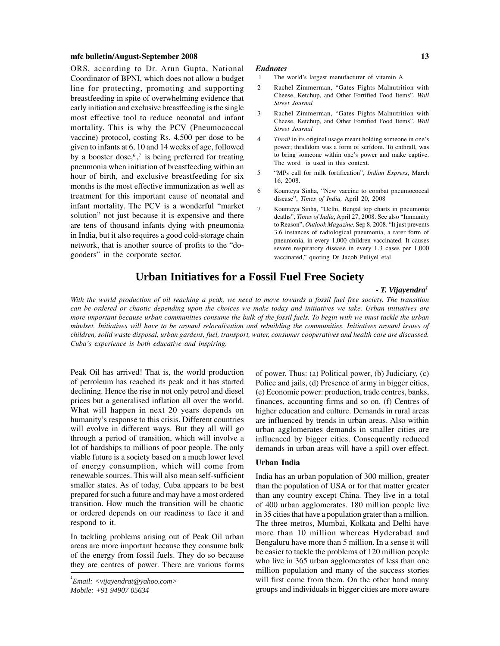ORS, according to Dr. Arun Gupta, National Coordinator of BPNI, which does not allow a budget line for protecting, promoting and supporting breastfeeding in spite of overwhelming evidence that early initiation and exclusive breastfeeding is the single most effective tool to reduce neonatal and infant mortality. This is why the PCV (Pneumococcal vaccine) protocol, costing Rs. 4,500 per dose to be given to infants at 6, 10 and 14 weeks of age, followed by a booster dose,  $6$ , is being preferred for treating pneumonia when initiation of breastfeeding within an hour of birth, and exclusive breastfeeding for six months is the most effective immunization as well as treatment for this important cause of neonatal and infant mortality. The PCV is a wonderful "market solution" not just because it is expensive and there are tens of thousand infants dying with pneumonia in India, but it also requires a good cold-storage chain network, that is another source of profits to the "dogooders" in the corporate sector.

#### *Endnotes*

- 1 The world's largest manufacturer of vitamin A
- 2 Rachel Zimmerman, "Gates Fights Malnutrition with Cheese, Ketchup, and Other Fortified Food Items", *Wall Street Journal*
- 3 Rachel Zimmerman, "Gates Fights Malnutrition with Cheese, Ketchup, and Other Fortified Food Items", *Wall Street Journal*
- 4 *Thrall* in its original usage meant holding someone in one's power; thralldom was a form of serfdom. To enthrall, was to bring someone within one's power and make captive. The word is used in this context.
- 5 "MPs call for milk fortification", *Indian Express*, March 16, 2008.
- 6 Kounteya Sinha, "New vaccine to combat pneumococcal disease", *Times of India,* April 20, 2008
	- 7 Kounteya Sinha, "Delhi, Bengal top charts in pneumonia deaths", *Times of India*, April 27, 2008. See also "Immunity to Reason", *Outlook Magazine,* Sep 8, 2008. "It just prevents 3.6 instances of radiological pneumonia, a rarer form of pneumonia, in every 1,000 children vaccinated. It causes severe respiratory disease in every 1.3 cases per 1,000 vaccinated," quoting Dr Jacob Puliyel etal.

# **Urban Initiatives for a Fossil Fuel Free Society**

#### *- T. Vijayendra1*

*With the world production of oil reaching a peak, we need to move towards a fossil fuel free society. The transition can be ordered or chaotic depending upon the choices we make today and initiatives we take. Urban initiatives are more important because urban communities consume the bulk of the fossil fuels. To begin with we must tackle the urban mindset. Initiatives will have to be around relocalisation and rebuilding the communities. Initiatives around issues of children, solid waste disposal, urban gardens, fuel, transport, water, consumer cooperatives and health care are discussed. Cuba's experience is both educative and inspiring.*

Peak Oil has arrived! That is, the world production of petroleum has reached its peak and it has started declining. Hence the rise in not only petrol and diesel prices but a generalised inflation all over the world. What will happen in next 20 years depends on humanity's response to this crisis. Different countries will evolve in different ways. But they all will go through a period of transition, which will involve a lot of hardships to millions of poor people. The only viable future is a society based on a much lower level of energy consumption, which will come from renewable sources. This will also mean self-sufficient smaller states. As of today, Cuba appears to be best prepared for such a future and may have a most ordered transition. How much the transition will be chaotic or ordered depends on our readiness to face it and respond to it.

In tackling problems arising out of Peak Oil urban areas are more important because they consume bulk of the energy from fossil fuels. They do so because they are centres of power. There are various forms

*1 Email: <vijayendrat@yahoo.com> Mobile: +91 94907 05634*

of power. Thus: (a) Political power, (b) Judiciary, (c) Police and jails, (d) Presence of army in bigger cities, (e) Economic power: production, trade centres, banks, finances, accounting firms and so on. (f) Centres of higher education and culture. Demands in rural areas are influenced by trends in urban areas. Also within urban agglomerates demands in smaller cities are influenced by bigger cities. Consequently reduced demands in urban areas will have a spill over effect.

#### **Urban India**

India has an urban population of 300 million, greater than the population of USA or for that matter greater than any country except China. They live in a total of 400 urban agglomerates. 180 million people live in 35 cities that have a population grater than a million. The three metros, Mumbai, Kolkata and Delhi have more than 10 million whereas Hyderabad and Bengaluru have more than 5 million. In a sense it will be easier to tackle the problems of 120 million people who live in 365 urban agglomerates of less than one million population and many of the success stories will first come from them. On the other hand many groups and individuals in bigger cities are more aware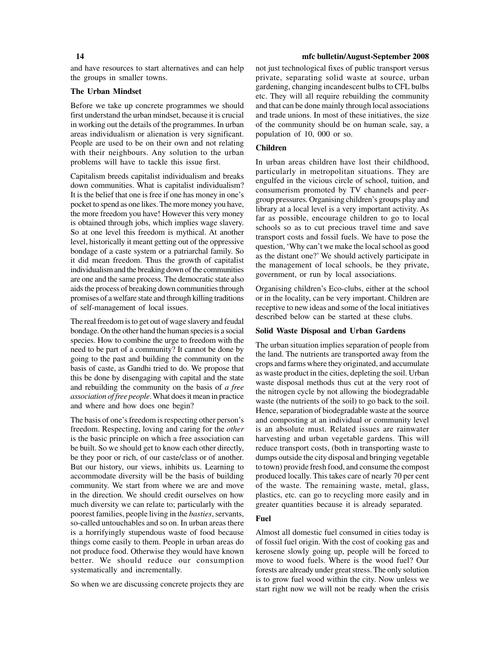and have resources to start alternatives and can help the groups in smaller towns.

#### **The Urban Mindset**

Before we take up concrete programmes we should first understand the urban mindset, because it is crucial in working out the details of the programmes. In urban areas individualism or alienation is very significant. People are used to be on their own and not relating with their neighbours. Any solution to the urban problems will have to tackle this issue first.

Capitalism breeds capitalist individualism and breaks down communities. What is capitalist individualism? It is the belief that one is free if one has money in one's pocket to spend as one likes. The more money you have, the more freedom you have! However this very money is obtained through jobs, which implies wage slavery. So at one level this freedom is mythical. At another level, historically it meant getting out of the oppressive bondage of a caste system or a patriarchal family. So it did mean freedom. Thus the growth of capitalist individualism and the breaking down of the communities are one and the same process. The democratic state also aids the process of breaking down communities through promises of a welfare state and through killing traditions of self-management of local issues.

The real freedom is to get out of wage slavery and feudal bondage. On the other hand the human species is a social species. How to combine the urge to freedom with the need to be part of a community? It cannot be done by going to the past and building the community on the basis of caste, as Gandhi tried to do. We propose that this be done by disengaging with capital and the state and rebuilding the community on the basis of *a free association of free people*. What does it mean in practice and where and how does one begin?

The basis of one's freedom is respecting other person's freedom. Respecting, loving and caring for the *other* is the basic principle on which a free association can be built. So we should get to know each other directly, be they poor or rich, of our caste/class or of another. But our history, our views, inhibits us. Learning to accommodate diversity will be the basis of building community. We start from where we are and move in the direction. We should credit ourselves on how much diversity we can relate to; particularly with the poorest families, people living in the *basties*, servants, so-called untouchables and so on. In urban areas there is a horrifyingly stupendous waste of food because things come easily to them. People in urban areas do not produce food. Otherwise they would have known better. We should reduce our consumption systematically and incrementally.

So when we are discussing concrete projects they are

#### **14 mfc bulletin/August-September 2008**

not just technological fixes of public transport versus private, separating solid waste at source, urban gardening, changing incandescent bulbs to CFL bulbs etc. They will all require rebuilding the community and that can be done mainly through local associations and trade unions. In most of these initiatives, the size of the community should be on human scale, say, a population of 10, 000 or so.

### **Children**

In urban areas children have lost their childhood, particularly in metropolitan situations. They are engulfed in the vicious circle of school, tuition, and consumerism promoted by TV channels and peergroup pressures. Organising children's groups play and library at a local level is a very important activity. As far as possible, encourage children to go to local schools so as to cut precious travel time and save transport costs and fossil fuels. We have to pose the question, 'Why can't we make the local school as good as the distant one?' We should actively participate in the management of local schools, be they private, government, or run by local associations.

Organising children's Eco-clubs, either at the school or in the locality, can be very important. Children are receptive to new ideas and some of the local initiatives described below can be started at these clubs.

#### **Solid Waste Disposal and Urban Gardens**

The urban situation implies separation of people from the land. The nutrients are transported away from the crops and farms where they originated, and accumulate as waste product in the cities, depleting the soil. Urban waste disposal methods thus cut at the very root of the nitrogen cycle by not allowing the biodegradable waste (the nutrients of the soil) to go back to the soil. Hence, separation of biodegradable waste at the source and composting at an individual or community level is an absolute must. Related issues are rainwater harvesting and urban vegetable gardens. This will reduce transport costs, (both in transporting waste to dumps outside the city disposal and bringing vegetable to town) provide fresh food, and consume the compost produced locally. This takes care of nearly 70 per cent of the waste. The remaining waste, metal, glass, plastics, etc. can go to recycling more easily and in greater quantities because it is already separated.

#### **Fuel**

Almost all domestic fuel consumed in cities today is of fossil fuel origin. With the cost of cooking gas and kerosene slowly going up, people will be forced to move to wood fuels. Where is the wood fuel? Our forests are already under great stress. The only solution is to grow fuel wood within the city. Now unless we start right now we will not be ready when the crisis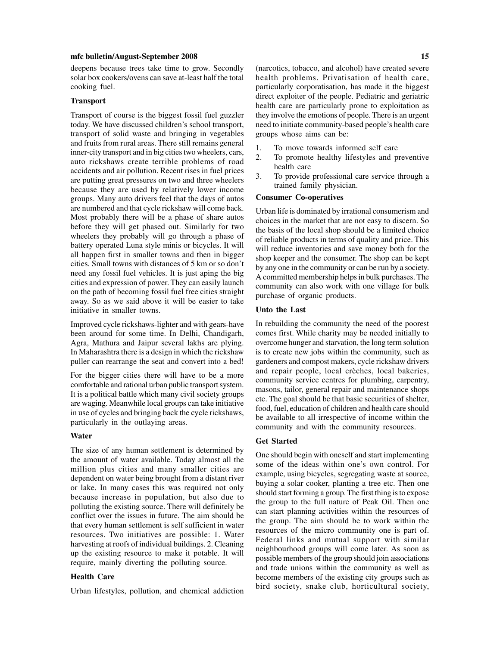deepens because trees take time to grow. Secondly solar box cookers/ovens can save at-least half the total cooking fuel.

#### **Transport**

Transport of course is the biggest fossil fuel guzzler today. We have discussed children's school transport, transport of solid waste and bringing in vegetables and fruits from rural areas. There still remains general inner-city transport and in big cities two wheelers, cars, auto rickshaws create terrible problems of road accidents and air pollution. Recent rises in fuel prices are putting great pressures on two and three wheelers because they are used by relatively lower income groups. Many auto drivers feel that the days of autos are numbered and that cycle rickshaw will come back. Most probably there will be a phase of share autos before they will get phased out. Similarly for two wheelers they probably will go through a phase of battery operated Luna style minis or bicycles. It will all happen first in smaller towns and then in bigger cities. Small towns with distances of 5 km or so don't need any fossil fuel vehicles. It is just aping the big cities and expression of power. They can easily launch on the path of becoming fossil fuel free cities straight away. So as we said above it will be easier to take initiative in smaller towns.

Improved cycle rickshaws-lighter and with gears-have been around for some time. In Delhi, Chandigarh, Agra, Mathura and Jaipur several lakhs are plying. In Maharashtra there is a design in which the rickshaw puller can rearrange the seat and convert into a bed!

For the bigger cities there will have to be a more comfortable and rational urban public transport system. It is a political battle which many civil society groups are waging. Meanwhile local groups can take initiative in use of cycles and bringing back the cycle rickshaws, particularly in the outlaying areas.

#### **Water**

The size of any human settlement is determined by the amount of water available. Today almost all the million plus cities and many smaller cities are dependent on water being brought from a distant river or lake. In many cases this was required not only because increase in population, but also due to polluting the existing source. There will definitely be conflict over the issues in future. The aim should be that every human settlement is self sufficient in water resources. Two initiatives are possible: 1. Water harvesting at roofs of individual buildings. 2. Cleaning up the existing resource to make it potable. It will require, mainly diverting the polluting source.

#### **Health Care**

Urban lifestyles, pollution, and chemical addiction

(narcotics, tobacco, and alcohol) have created severe health problems. Privatisation of health care, particularly corporatisation, has made it the biggest direct exploiter of the people. Pediatric and geriatric health care are particularly prone to exploitation as they involve the emotions of people. There is an urgent need to initiate community-based people's health care groups whose aims can be:

- 1. To move towards informed self care
- 2. To promote healthy lifestyles and preventive health care
- 3. To provide professional care service through a trained family physician.

### **Consumer Co-operatives**

Urban life is dominated by irrational consumerism and choices in the market that are not easy to discern. So the basis of the local shop should be a limited choice of reliable products in terms of quality and price. This will reduce inventories and save money both for the shop keeper and the consumer. The shop can be kept by any one in the community or can be run by a society. A committed membership helps in bulk purchases. The community can also work with one village for bulk purchase of organic products.

#### **Unto the Last**

In rebuilding the community the need of the poorest comes first. While charity may be needed initially to overcome hunger and starvation, the long term solution is to create new jobs within the community, such as gardeners and compost makers, cycle rickshaw drivers and repair people, local crèches, local bakeries, community service centres for plumbing, carpentry, masons, tailor, general repair and maintenance shops etc. The goal should be that basic securities of shelter, food, fuel, education of children and health care should be available to all irrespective of income within the community and with the community resources.

#### **Get Started**

One should begin with oneself and start implementing some of the ideas within one's own control. For example, using bicycles, segregating waste at source, buying a solar cooker, planting a tree etc. Then one should start forming a group. The first thing is to expose the group to the full nature of Peak Oil. Then one can start planning activities within the resources of the group. The aim should be to work within the resources of the micro community one is part of. Federal links and mutual support with similar neighbourhood groups will come later. As soon as possible members of the group should join associations and trade unions within the community as well as become members of the existing city groups such as bird society, snake club, horticultural society,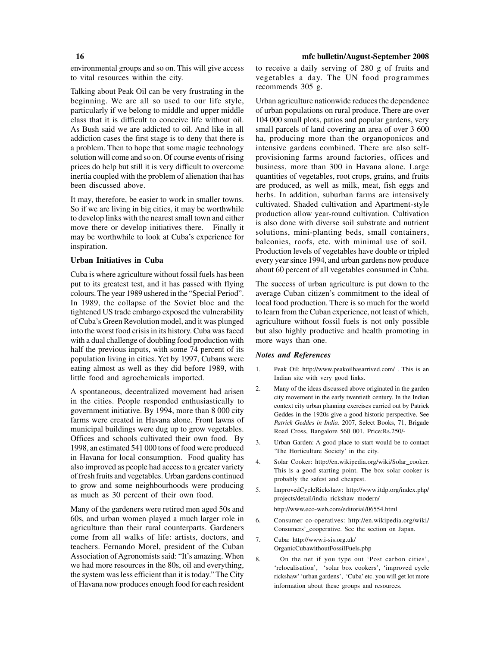environmental groups and so on. This will give access to vital resources within the city.

Talking about Peak Oil can be very frustrating in the beginning. We are all so used to our life style, particularly if we belong to middle and upper middle class that it is difficult to conceive life without oil. As Bush said we are addicted to oil. And like in all addiction cases the first stage is to deny that there is a problem. Then to hope that some magic technology solution will come and so on. Of course events of rising prices do help but still it is very difficult to overcome inertia coupled with the problem of alienation that has been discussed above.

It may, therefore, be easier to work in smaller towns. So if we are living in big cities, it may be worthwhile to develop links with the nearest small town and either move there or develop initiatives there. Finally it may be worthwhile to look at Cuba's experience for inspiration.

#### **Urban Initiatives in Cuba**

Cuba is where agriculture without fossil fuels has been put to its greatest test, and it has passed with flying colours. The year 1989 ushered in the "Special Period". In 1989, the collapse of the Soviet bloc and the tightened US trade embargo exposed the vulnerability of Cuba's Green Revolution model, and it was plunged into the worst food crisis in its history. Cuba was faced with a dual challenge of doubling food production with half the previous inputs, with some 74 percent of its population living in cities. Yet by 1997, Cubans were eating almost as well as they did before 1989, with little food and agrochemicals imported.

A spontaneous, decentralized movement had arisen in the cities. People responded enthusiastically to government initiative. By 1994, more than 8 000 city farms were created in Havana alone. Front lawns of municipal buildings were dug up to grow vegetables. Offices and schools cultivated their own food. By 1998, an estimated 541 000 tons of food were produced in Havana for local consumption. Food quality has also improved as people had access to a greater variety of fresh fruits and vegetables. Urban gardens continued to grow and some neighbourhoods were producing as much as 30 percent of their own food.

Many of the gardeners were retired men aged 50s and 60s, and urban women played a much larger role in agriculture than their rural counterparts. Gardeners come from all walks of life: artists, doctors, and teachers. Fernando Morel, president of the Cuban Association of Agronomists said: "It's amazing. When we had more resources in the 80s, oil and everything, the system was less efficient than it is today." The City of Havana now produces enough food for each resident to receive a daily serving of 280 g of fruits and vegetables a day. The UN food programmes recommends 305 g.

Urban agriculture nationwide reduces the dependence of urban populations on rural produce. There are over 104 000 small plots, patios and popular gardens, very small parcels of land covering an area of over 3 600 ha, producing more than the organoponicos and intensive gardens combined. There are also selfprovisioning farms around factories, offices and business, more than 300 in Havana alone. Large quantities of vegetables, root crops, grains, and fruits are produced, as well as milk, meat, fish eggs and herbs. In addition, suburban farms are intensively cultivated. Shaded cultivation and Apartment-style production allow year-round cultivation. Cultivation is also done with diverse soil substrate and nutrient solutions, mini-planting beds, small containers, balconies, roofs, etc. with minimal use of soil. Production levels of vegetables have double or tripled every year since 1994, and urban gardens now produce about 60 percent of all vegetables consumed in Cuba.

The success of urban agriculture is put down to the average Cuban citizen's commitment to the ideal of local food production. There is so much for the world to learn from the Cuban experience, not least of which, agriculture without fossil fuels is not only possible but also highly productive and health promoting in more ways than one.

#### *Notes and References*

- 1. Peak Oil: http://www.peakoilhasarrived.com/ . This is an Indian site with very good links.
- 2. Many of the ideas discussed above originated in the garden city movement in the early twentieth century. In the Indian context city urban planning exercises carried out by Patrick Geddes in the 1920s give a good historic perspective. See *Patrick Geddes in India*. 2007, Select Books, 71, Brigade Road Cross, Bangalore 560 001. Price:Rs.250/-
- 3. Urban Garden: A good place to start would be to contact 'The Horticulture Society' in the city.
- 4. Solar Cooker: http://en.wikipedia.org/wiki/Solar\_cooker. This is a good starting point. The box solar cooker is probably the safest and cheapest.
- 5. ImprovedCycleRickshaw: http://www.itdp.org/index.php/ projects/detail/india\_rickshaw\_modern/

http://www.eco-web.com/editorial/06554.html

- 6. Consumer co-operatives: http://en.wikipedia.org/wiki/ Consumers'\_cooperative. See the section on Japan.
- 7. Cuba: http://www.i-sis.org.uk/ OrganicCubawithoutFossilFuels.php
- 8. On the net if you type out 'Post carbon cities', 'relocalisation', 'solar box cookers', 'improved cycle rickshaw' 'urban gardens', 'Cuba' etc. you will get lot more information about these groups and resources.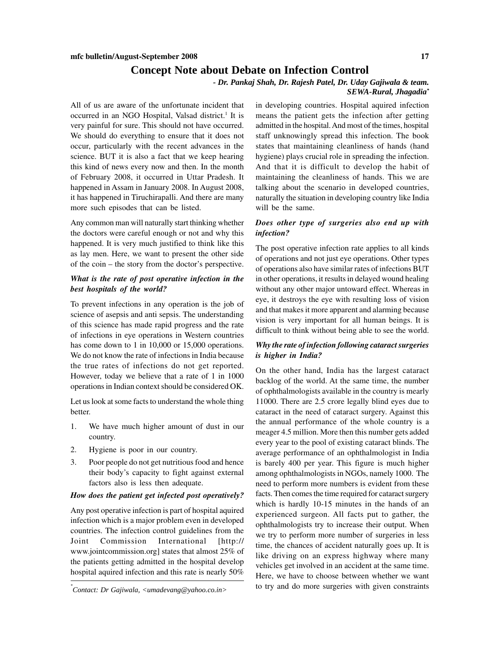# **Concept Note about Debate on Infection Control**

*- Dr. Pankaj Shah, Dr. Rajesh Patel, Dr. Uday Gajiwala & team.*

# *SEWA-Rural, Jhagadia\**

All of us are aware of the unfortunate incident that occurred in an NGO Hospital, Valsad district.<sup>1</sup> It is very painful for sure. This should not have occurred. We should do everything to ensure that it does not occur, particularly with the recent advances in the science. BUT it is also a fact that we keep hearing this kind of news every now and then. In the month of February 2008, it occurred in Uttar Pradesh. It happened in Assam in January 2008. In August 2008, it has happened in Tiruchirapalli. And there are many more such episodes that can be listed.

Any common man will naturally start thinking whether the doctors were careful enough or not and why this happened. It is very much justified to think like this as lay men. Here, we want to present the other side of the coin – the story from the doctor's perspective.

# *What is the rate of post operative infection in the best hospitals of the world?*

To prevent infections in any operation is the job of science of asepsis and anti sepsis. The understanding of this science has made rapid progress and the rate of infections in eye operations in Western countries has come down to 1 in 10,000 or 15,000 operations. We do not know the rate of infections in India because the true rates of infections do not get reported. However, today we believe that a rate of 1 in 1000 operations in Indian context should be considered OK.

Let us look at some facts to understand the whole thing better.

- 1. We have much higher amount of dust in our country.
- 2. Hygiene is poor in our country.
- 3. Poor people do not get nutritious food and hence their body's capacity to fight against external factors also is less then adequate.

#### *How does the patient get infected post operatively?*

Any post operative infection is part of hospital aquired infection which is a major problem even in developed countries. The infection control guidelines from the Joint Commission International [http:// www.jointcommission.org] states that almost 25% of the patients getting admitted in the hospital develop hospital aquired infection and this rate is nearly 50%

*Contact: Dr Gajiwala, <umadevang@yahoo.co.in>*

in developing countries. Hospital aquired infection means the patient gets the infection after getting admitted in the hospital. And most of the times, hospital staff unknowingly spread this infection. The book states that maintaining cleanliness of hands (hand hygiene) plays crucial role in spreading the infection. And that it is difficult to develop the habit of maintaining the cleanliness of hands. This we are talking about the scenario in developed countries, naturally the situation in developing country like India will be the same.

### *Does other type of surgeries also end up with infection?*

The post operative infection rate applies to all kinds of operations and not just eye operations. Other types of operations also have similar rates of infections BUT in other operations, it results in delayed wound healing without any other major untoward effect. Whereas in eye, it destroys the eye with resulting loss of vision and that makes it more apparent and alarming because vision is very important for all human beings. It is difficult to think without being able to see the world.

# *Why the rate of infection following cataract surgeries is higher in India?*

On the other hand, India has the largest cataract backlog of the world. At the same time, the number of ophthalmologists available in the country is mearly 11000. There are 2.5 crore legally blind eyes due to cataract in the need of cataract surgery. Against this the annual performance of the whole country is a meager 4.5 million. More then this number gets added every year to the pool of existing cataract blinds. The average performance of an ophthalmologist in India is barely 400 per year. This figure is much higher among ophthalmologists in NGOs, namely 1000. The need to perform more numbers is evident from these facts. Then comes the time required for cataract surgery which is hardly 10-15 minutes in the hands of an experienced surgeon. All facts put to gather, the ophthalmologists try to increase their output. When we try to perform more number of surgeries in less time, the chances of accident naturally goes up. It is like driving on an express highway where many vehicles get involved in an accident at the same time. Here, we have to choose between whether we want to try and do more surgeries with given constraints *\**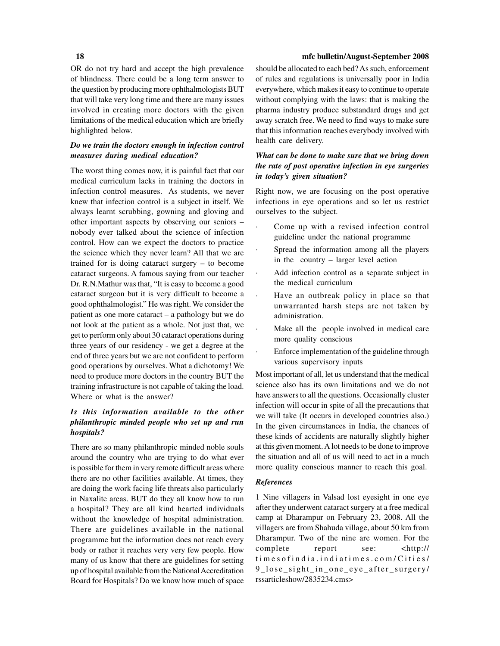OR do not try hard and accept the high prevalence of blindness. There could be a long term answer to the question by producing more ophthalmologists BUT that will take very long time and there are many issues involved in creating more doctors with the given limitations of the medical education which are briefly highlighted below.

# *Do we train the doctors enough in infection control measures during medical education?*

The worst thing comes now, it is painful fact that our medical curriculum lacks in training the doctors in infection control measures. As students, we never knew that infection control is a subject in itself. We always learnt scrubbing, gowning and gloving and other important aspects by observing our seniors – nobody ever talked about the science of infection control. How can we expect the doctors to practice the science which they never learn? All that we are trained for is doing cataract surgery – to become cataract surgeons. A famous saying from our teacher Dr. R.N.Mathur was that, "It is easy to become a good cataract surgeon but it is very difficult to become a good ophthalmologist." He was right. We consider the patient as one more cataract – a pathology but we do not look at the patient as a whole. Not just that, we get to perform only about 30 cataract operations during three years of our residency - we get a degree at the end of three years but we are not confident to perform good operations by ourselves. What a dichotomy! We need to produce more doctors in the country BUT the training infrastructure is not capable of taking the load. Where or what is the answer?

# *Is this information available to the other philanthropic minded people who set up and run hospitals?*

There are so many philanthropic minded noble souls around the country who are trying to do what ever is possible for them in very remote difficult areas where there are no other facilities available. At times, they are doing the work facing life threats also particularly in Naxalite areas. BUT do they all know how to run a hospital? They are all kind hearted individuals without the knowledge of hospital administration. There are guidelines available in the national programme but the information does not reach every body or rather it reaches very very few people. How many of us know that there are guidelines for setting up of hospital available from the National Accreditation Board for Hospitals? Do we know how much of space should be allocated to each bed? As such, enforcement of rules and regulations is universally poor in India everywhere, which makes it easy to continue to operate without complying with the laws: that is making the pharma industry produce substandard drugs and get away scratch free. We need to find ways to make sure that this information reaches everybody involved with health care delivery.

# *What can be done to make sure that we bring down the rate of post operative infection in eye surgeries in today's given situation?*

Right now, we are focusing on the post operative infections in eye operations and so let us restrict ourselves to the subject.

- Come up with a revised infection control guideline under the national programme
- Spread the information among all the players in the country – larger level action
- Add infection control as a separate subject in the medical curriculum
- Have an outbreak policy in place so that unwarranted harsh steps are not taken by administration.
- Make all the people involved in medical care more quality conscious
- Enforce implementation of the guideline through various supervisory inputs

Most important of all, let us understand that the medical science also has its own limitations and we do not have answers to all the questions. Occasionally cluster infection will occur in spite of all the precautions that we will take (It occurs in developed countries also.) In the given circumstances in India, the chances of these kinds of accidents are naturally slightly higher at this given moment. A lot needs to be done to improve the situation and all of us will need to act in a much more quality conscious manner to reach this goal.

#### *References*

1 Nine villagers in Valsad lost eyesight in one eye after they underwent cataract surgery at a free medical camp at Dharampur on February 23, 2008. All the villagers are from Shahuda village, about 50 km from Dharampur. Two of the nine are women. For the complete report see: <http:// timesofindia.indiatimes.com/Cities/ 9\_lose\_sight\_in\_one\_eye\_after\_surgery/ rssarticleshow/2835234.cms>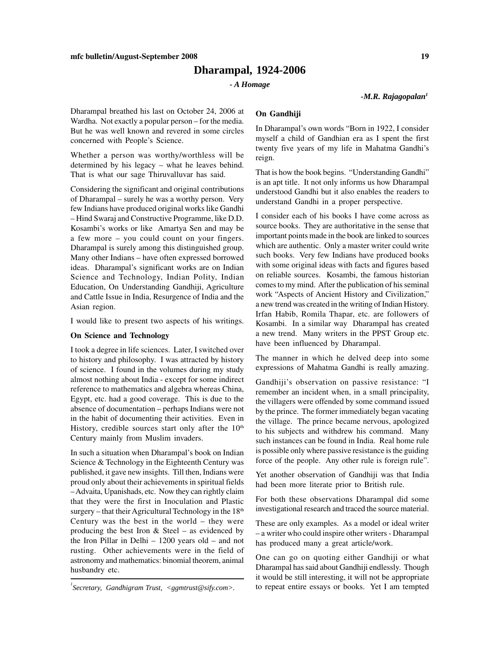# **Dharampal, 1924-2006**

#### *- A Homage*

*-M.R. Rajagopalan1*

Dharampal breathed his last on October 24, 2006 at Wardha. Not exactly a popular person – for the media. But he was well known and revered in some circles concerned with People's Science.

Whether a person was worthy/worthless will be determined by his legacy – what he leaves behind. That is what our sage Thiruvalluvar has said.

Considering the significant and original contributions of Dharampal – surely he was a worthy person. Very few Indians have produced original works like Gandhi – Hind Swaraj and Constructive Programme, like D.D. Kosambi's works or like Amartya Sen and may be a few more – you could count on your fingers. Dharampal is surely among this distinguished group. Many other Indians – have often expressed borrowed ideas. Dharampal's significant works are on Indian Science and Technology, Indian Polity, Indian Education, On Understanding Gandhiji, Agriculture and Cattle Issue in India, Resurgence of India and the Asian region.

I would like to present two aspects of his writings.

#### **On Science and Technology**

I took a degree in life sciences. Later, I switched over to history and philosophy. I was attracted by history of science. I found in the volumes during my study almost nothing about India - except for some indirect reference to mathematics and algebra whereas China, Egypt, etc. had a good coverage. This is due to the absence of documentation – perhaps Indians were not in the habit of documenting their activities. Even in History, credible sources start only after the  $10<sup>th</sup>$ Century mainly from Muslim invaders.

In such a situation when Dharampal's book on Indian Science & Technology in the Eighteenth Century was published, it gave new insights. Till then, Indians were proud only about their achievements in spiritual fields – Advaita, Upanishads, etc. Now they can rightly claim that they were the first in Inoculation and Plastic surgery – that their Agricultural Technology in the  $18<sup>th</sup>$ Century was the best in the world – they were producing the best Iron  $&$  Steel – as evidenced by the Iron Pillar in Delhi – 1200 years old – and not rusting. Other achievements were in the field of astronomy and mathematics: binomial theorem, animal husbandry etc.

### **On Gandhiji**

In Dharampal's own words "Born in 1922, I consider myself a child of Gandhian era as I spent the first twenty five years of my life in Mahatma Gandhi's reign.

That is how the book begins. "Understanding Gandhi" is an apt title. It not only informs us how Dharampal understood Gandhi but it also enables the readers to understand Gandhi in a proper perspective.

I consider each of his books I have come across as source books. They are authoritative in the sense that important points made in the book are linked to sources which are authentic. Only a master writer could write such books. Very few Indians have produced books with some original ideas with facts and figures based on reliable sources. Kosambi, the famous historian comes to my mind. After the publication of his seminal work "Aspects of Ancient History and Civilization," a new trend was created in the writing of Indian History. Irfan Habib, Romila Thapar, etc. are followers of Kosambi. In a similar way Dharampal has created a new trend. Many writers in the PPST Group etc. have been influenced by Dharampal.

The manner in which he delved deep into some expressions of Mahatma Gandhi is really amazing.

Gandhiji's observation on passive resistance: "I remember an incident when, in a small principality, the villagers were offended by some command issued by the prince. The former immediately began vacating the village. The prince became nervous, apologized to his subjects and withdrew his command. Many such instances can be found in India. Real home rule is possible only where passive resistance is the guiding force of the people. Any other rule is foreign rule".

Yet another observation of Gandhiji was that India had been more literate prior to British rule.

For both these observations Dharampal did some investigational research and traced the source material.

These are only examples. As a model or ideal writer – a writer who could inspire other writers - Dharampal has produced many a great article/work.

One can go on quoting either Gandhiji or what Dharampal has said about Gandhiji endlessly. Though it would be still interesting, it will not be appropriate  $\iint$  *Secretary, Gandhigram Trust, <ggmtrust@sify.com>.* to repeat entire essays or books. Yet I am tempted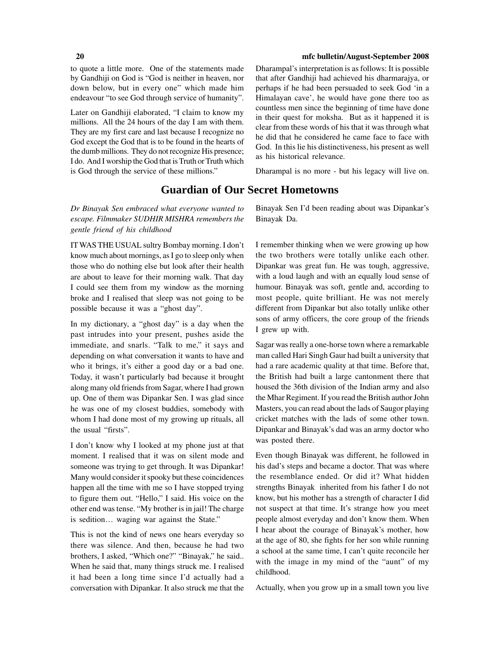to quote a little more. One of the statements made by Gandhiji on God is "God is neither in heaven, nor down below, but in every one" which made him endeavour "to see God through service of humanity".

Later on Gandhiji elaborated, "I claim to know my millions. All the 24 hours of the day I am with them. They are my first care and last because I recognize no God except the God that is to be found in the hearts of the dumb millions. They do not recognize His presence; I do. And I worship the God that is Truth or Truth which is God through the service of these millions."

*Dr Binayak Sen embraced what everyone wanted to escape. Filmmaker SUDHIR MISHRA remembers the gentle friend of his childhood*

IT WAS THE USUAL sultry Bombay morning. I don't know much about mornings, as I go to sleep only when those who do nothing else but look after their health are about to leave for their morning walk. That day I could see them from my window as the morning broke and I realised that sleep was not going to be possible because it was a "ghost day".

In my dictionary, a "ghost day" is a day when the past intrudes into your present, pushes aside the immediate, and snarls. "Talk to me," it says and depending on what conversation it wants to have and who it brings, it's either a good day or a bad one. Today, it wasn't particularly bad because it brought along many old friends from Sagar, where I had grown up. One of them was Dipankar Sen. I was glad since he was one of my closest buddies, somebody with whom I had done most of my growing up rituals, all the usual "firsts".

I don't know why I looked at my phone just at that moment. I realised that it was on silent mode and someone was trying to get through. It was Dipankar! Many would consider it spooky but these coincidences happen all the time with me so I have stopped trying to figure them out. "Hello," I said. His voice on the other end was tense. "My brother is in jail! The charge is sedition… waging war against the State."

This is not the kind of news one hears everyday so there was silence. And then, because he had two brothers, I asked, "Which one?" "Binayak," he said.. When he said that, many things struck me. I realised it had been a long time since I'd actually had a conversation with Dipankar. It also struck me that the

#### **20 mfc bulletin/August-September 2008**

Dharampal's interpretation is as follows: It is possible that after Gandhiji had achieved his dharmarajya, or perhaps if he had been persuaded to seek God 'in a Himalayan cave', he would have gone there too as countless men since the beginning of time have done in their quest for moksha. But as it happened it is clear from these words of his that it was through what he did that he considered he came face to face with God. In this lie his distinctiveness, his present as well as his historical relevance.

Dharampal is no more - but his legacy will live on.

# **Guardian of Our Secret Hometowns**

Binayak Sen I'd been reading about was Dipankar's Binayak Da.

I remember thinking when we were growing up how the two brothers were totally unlike each other. Dipankar was great fun. He was tough, aggressive, with a loud laugh and with an equally loud sense of humour. Binayak was soft, gentle and, according to most people, quite brilliant. He was not merely different from Dipankar but also totally unlike other sons of army officers, the core group of the friends I grew up with.

Sagar was really a one-horse town where a remarkable man called Hari Singh Gaur had built a university that had a rare academic quality at that time. Before that, the British had built a large cantonment there that housed the 36th division of the Indian army and also the Mhar Regiment. If you read the British author John Masters, you can read about the lads of Saugor playing cricket matches with the lads of some other town. Dipankar and Binayak's dad was an army doctor who was posted there.

Even though Binayak was different, he followed in his dad's steps and became a doctor. That was where the resemblance ended. Or did it? What hidden strengths Binayak inherited from his father I do not know, but his mother has a strength of character I did not suspect at that time. It's strange how you meet people almost everyday and don't know them. When I hear about the courage of Binayak's mother, how at the age of 80, she fights for her son while running a school at the same time, I can't quite reconcile her with the image in my mind of the "aunt" of my childhood.

Actually, when you grow up in a small town you live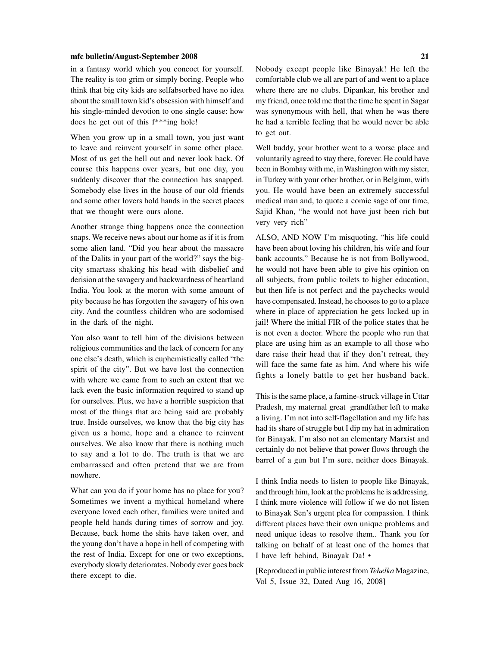in a fantasy world which you concoct for yourself. The reality is too grim or simply boring. People who think that big city kids are selfabsorbed have no idea about the small town kid's obsession with himself and his single-minded devotion to one single cause: how does he get out of this f\*\*\*ing hole!

When you grow up in a small town, you just want to leave and reinvent yourself in some other place. Most of us get the hell out and never look back. Of course this happens over years, but one day, you suddenly discover that the connection has snapped. Somebody else lives in the house of our old friends and some other lovers hold hands in the secret places that we thought were ours alone.

Another strange thing happens once the connection snaps. We receive news about our home as if it is from some alien land. "Did you hear about the massacre of the Dalits in your part of the world?" says the bigcity smartass shaking his head with disbelief and derision at the savagery and backwardness of heartland India. You look at the moron with some amount of pity because he has forgotten the savagery of his own city. And the countless children who are sodomised in the dark of the night.

You also want to tell him of the divisions between religious communities and the lack of concern for any one else's death, which is euphemistically called "the spirit of the city". But we have lost the connection with where we came from to such an extent that we lack even the basic information required to stand up for ourselves. Plus, we have a horrible suspicion that most of the things that are being said are probably true. Inside ourselves, we know that the big city has given us a home, hope and a chance to reinvent ourselves. We also know that there is nothing much to say and a lot to do. The truth is that we are embarrassed and often pretend that we are from nowhere.

What can you do if your home has no place for you? Sometimes we invent a mythical homeland where everyone loved each other, families were united and people held hands during times of sorrow and joy. Because, back home the shits have taken over, and the young don't have a hope in hell of competing with the rest of India. Except for one or two exceptions, everybody slowly deteriorates. Nobody ever goes back there except to die.

Nobody except people like Binayak! He left the comfortable club we all are part of and went to a place where there are no clubs. Dipankar, his brother and my friend, once told me that the time he spent in Sagar was synonymous with hell, that when he was there he had a terrible feeling that he would never be able to get out.

Well buddy, your brother went to a worse place and voluntarily agreed to stay there, forever. He could have been in Bombay with me, in Washington with my sister, in Turkey with your other brother, or in Belgium, with you. He would have been an extremely successful medical man and, to quote a comic sage of our time, Sajid Khan, "he would not have just been rich but very very rich"

ALSO, AND NOW I'm misquoting, "his life could have been about loving his children, his wife and four bank accounts." Because he is not from Bollywood, he would not have been able to give his opinion on all subjects, from public toilets to higher education, but then life is not perfect and the paychecks would have compensated. Instead, he chooses to go to a place where in place of appreciation he gets locked up in jail! Where the initial FIR of the police states that he is not even a doctor. Where the people who run that place are using him as an example to all those who dare raise their head that if they don't retreat, they will face the same fate as him. And where his wife fights a lonely battle to get her husband back.

This is the same place, a famine-struck village in Uttar Pradesh, my maternal great grandfather left to make a living. I'm not into self-flagellation and my life has had its share of struggle but I dip my hat in admiration for Binayak. I'm also not an elementary Marxist and certainly do not believe that power flows through the barrel of a gun but I'm sure, neither does Binayak.

I think India needs to listen to people like Binayak, and through him, look at the problems he is addressing. I think more violence will follow if we do not listen to Binayak Sen's urgent plea for compassion. I think different places have their own unique problems and need unique ideas to resolve them.. Thank you for talking on behalf of at least one of the homes that I have left behind, Binayak Da! •

[Reproduced in public interest from *Tehelka* Magazine, Vol 5, Issue 32, Dated Aug 16, 2008]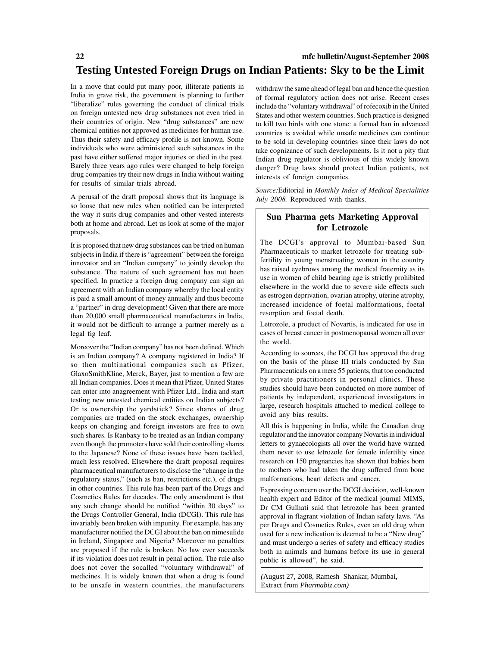In a move that could put many poor, illiterate patients in India in grave risk, the government is planning to further "liberalize" rules governing the conduct of clinical trials on foreign untested new drug substances not even tried in their countries of origin. New "drug substances" are new chemical entities not approved as medicines for human use. Thus their safety and efficacy profile is not known. Some individuals who were administered such substances in the past have either suffered major injuries or died in the past. Barely three years ago rules were changed to help foreign drug companies try their new drugs in India without waiting for results of similar trials abroad.

A perusal of the draft proposal shows that its language is so loose that new rules when notified can be interpreted the way it suits drug companies and other vested interests both at home and abroad. Let us look at some of the major proposals.

It is proposed that new drug substances can be tried on human subjects in India if there is "agreement" between the foreign innovator and an "Indian company" to jointly develop the substance. The nature of such agreement has not been specified. In practice a foreign drug company can sign an agreement with an Indian company whereby the local entity is paid a small amount of money annually and thus become a "partner" in drug development! Given that there are more than 20,000 small pharmaceutical manufacturers in India, it would not be difficult to arrange a partner merely as a legal fig leaf.

Moreover the "Indian company" has not been defined. Which is an Indian company? A company registered in India? If so then multinational companies such as Pfizer, GlaxoSmithKline, Merck, Bayer, just to mention a few are all Indian companies. Does it mean that Pfizer, United States can enter into anagreement with Pfizer Ltd., India and start testing new untested chemical entities on Indian subjects? Or is ownership the yardstick? Since shares of drug companies are traded on the stock exchanges, ownership keeps on changing and foreign investors are free to own such shares. Is Ranbaxy to be treated as an Indian company even though the promoters have sold their controlling shares to the Japanese? None of these issues have been tackled, much less resolved. Elsewhere the draft proposal requires pharmaceutical manufacturers to disclose the "change in the regulatory status," (such as ban, restrictions etc.), of drugs in other countries. This rule has been part of the Drugs and Cosmetics Rules for decades. The only amendment is that any such change should be notified "within 30 days" to the Drugs Controller General, India (DCGI). This rule has invariably been broken with impunity. For example, has any manufacturer notified the DCGI about the ban on nimesulide in Ireland, Singapore and Nigeria? Moreover no penalties are proposed if the rule is broken. No law ever succeeds if its violation does not result in penal action. The rule also does not cover the socalled "voluntary withdrawal" of medicines. It is widely known that when a drug is found to be unsafe in western countries, the manufacturers

withdraw the same ahead of legal ban and hence the question of formal regulatory action does not arise. Recent cases include the "voluntary withdrawal" of rofecoxib in the United States and other western countries. Such practice is designed to kill two birds with one stone: a formal ban in advanced countries is avoided while unsafe medicines can continue to be sold in developing countries since their laws do not take cognizance of such developments. Is it not a pity that Indian drug regulator is oblivious of this widely known danger? Drug laws should protect Indian patients, not interests of foreign companies.

*Source:*Editorial in *Monthly Index of Medical Specialities July 2008.* Reproduced with thanks.

# **Sun Pharma gets Marketing Approval for Letrozole**

The DCGI's approval to Mumbai-based Sun Pharmaceuticals to market letrozole for treating subfertility in young menstruating women in the country has raised eyebrows among the medical fraternity as its use in women of child bearing age is strictly prohibited elsewhere in the world due to severe side effects such as estrogen deprivation, ovarian atrophy, uterine atrophy, increased incidence of foetal malformations, foetal resorption and foetal death.

Letrozole, a product of Novartis, is indicated for use in cases of breast cancer in postmenopausal women all over the world.

According to sources, the DCGI has approved the drug on the basis of the phase III trials conducted by Sun Pharmaceuticals on a mere 55 patients, that too conducted by private practitioners in personal clinics. These studies should have been conducted on more number of patients by independent, experienced investigators in large, research hospitals attached to medical college to avoid any bias results.

All this is happening in India, while the Canadian drug regulator and the innovator company Novartis in individual letters to gynaecologists all over the world have warned them never to use letrozole for female infertility since research on 150 pregnancies has shown that babies born to mothers who had taken the drug suffered from bone malformations, heart defects and cancer.

Expressing concern over the DCGI decision, well-known health expert and Editor of the medical journal MIMS, Dr CM Gulhati said that letrozole has been granted approval in flagrant violation of Indian safety laws. "As per Drugs and Cosmetics Rules, even an old drug when used for a new indication is deemed to be a "New drug" and must undergo a series of safety and efficacy studies both in animals and humans before its use in general public is allowed", he said.

*(*August 27, 2008, Ramesh Shankar, Mumbai, Extract from *Pharmabiz.com)*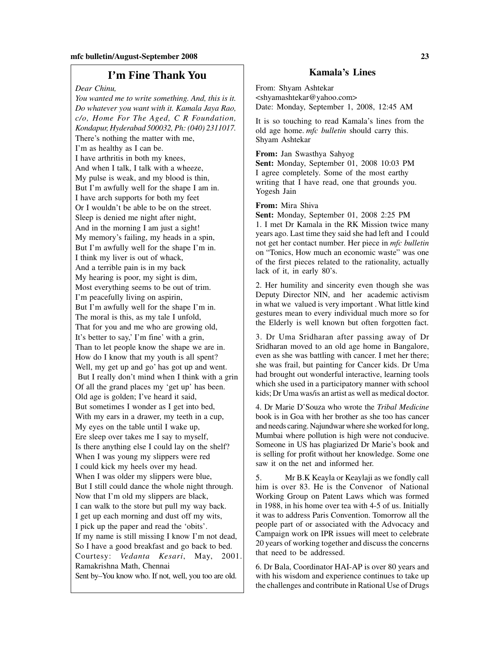# **I'm Fine Thank You Kamala's Lines**

*Dear Chinu,*

*You wanted me to write something. And, this is it. Do whatever you want with it. Kamala Jaya Rao, c/o, Home For The Aged, C R Foundation, Kondapur, Hyderabad 500032, Ph: (040) 2311017.* There's nothing the matter with me, I'm as healthy as I can be. I have arthritis in both my knees, And when I talk, I talk with a wheeze, My pulse is weak, and my blood is thin, But I'm awfully well for the shape I am in. I have arch supports for both my feet Or I wouldn't be able to be on the street. Sleep is denied me night after night, And in the morning I am just a sight! My memory's failing, my heads in a spin, But I'm awfully well for the shape I'm in. I think my liver is out of whack, And a terrible pain is in my back My hearing is poor, my sight is dim, Most everything seems to be out of trim. I'm peacefully living on aspirin, But I'm awfully well for the shape I'm in. The moral is this, as my tale I unfold, That for you and me who are growing old, It's better to say,' I'm fine' with a grin, Than to let people know the shape we are in. How do I know that my youth is all spent? Well, my get up and go' has got up and went. But I really don't mind when I think with a grin Of all the grand places my 'get up' has been. Old age is golden; I've heard it said, But sometimes I wonder as I get into bed, With my ears in a drawer, my teeth in a cup, My eyes on the table until I wake up, Ere sleep over takes me I say to myself, Is there anything else I could lay on the shelf? When I was young my slippers were red I could kick my heels over my head. When I was older my slippers were blue, But I still could dance the whole night through. Now that I'm old my slippers are black, I can walk to the store but pull my way back. I get up each morning and dust off my wits, I pick up the paper and read the 'obits'. If my name is still missing I know I'm not dead, So I have a good breakfast and go back to bed. Courtesy: *Vedanta Kesari*, May, 2001. Ramakrishna Math, Chennai Sent by–You know who. If not, well, you too are old.

From: Shyam Ashtekar <shyamashtekar@yahoo.com> Date: Monday, September 1, 2008, 12:45 AM

It is so touching to read Kamala's lines from the old age home. *mfc bulletin* should carry this. Shyam Ashtekar

**From:** Jan Swasthya Sahyog **Sent:** Monday, September 01, 2008 10:03 PM I agree completely. Some of the most earthy writing that I have read, one that grounds you. Yogesh Jain

#### **From:** Mira Shiva

**Sent:** Monday, September 01, 2008 2:25 PM 1. I met Dr Kamala in the RK Mission twice many years ago. Last time they said she had left and I could not get her contact number. Her piece in *mfc bulletin* on "Tonics, How much an economic waste" was one of the first pieces related to the rationality, actually lack of it, in early 80's.

2. Her humility and sincerity even though she was Deputy Director NIN, and her academic activism in what we valued is very important . What little kind gestures mean to every individual much more so for the Elderly is well known but often forgotten fact.

3. Dr Uma Sridharan after passing away of Dr Sridharan moved to an old age home in Bangalore, even as she was battling with cancer. I met her there; she was frail, but painting for Cancer kids. Dr Uma had brought out wonderful interactive, learning tools which she used in a participatory manner with school kids; Dr Uma was/is an artist as well as medical doctor.

4. Dr Marie D'Souza who wrote the *Tribal Medicine* book is in Goa with her brother as she too has cancer and needs caring. Najundwar where she worked for long, Mumbai where pollution is high were not conducive. Someone in US has plagiarized Dr Marie's book and is selling for profit without her knowledge. Some one saw it on the net and informed her.

5. Mr B.K Keayla or Keaylaji as we fondly call him is over 83. He is the Convenor of National Working Group on Patent Laws which was formed in 1988, in his home over tea with 4-5 of us. Initially it was to address Paris Convention. Tomorrow all the people part of or associated with the Advocacy and Campaign work on IPR issues will meet to celebrate 20 years of working together and discuss the concerns that need to be addressed.

6. Dr Bala, Coordinator HAI-AP is over 80 years and with his wisdom and experience continues to take up the challenges and contribute in Rational Use of Drugs